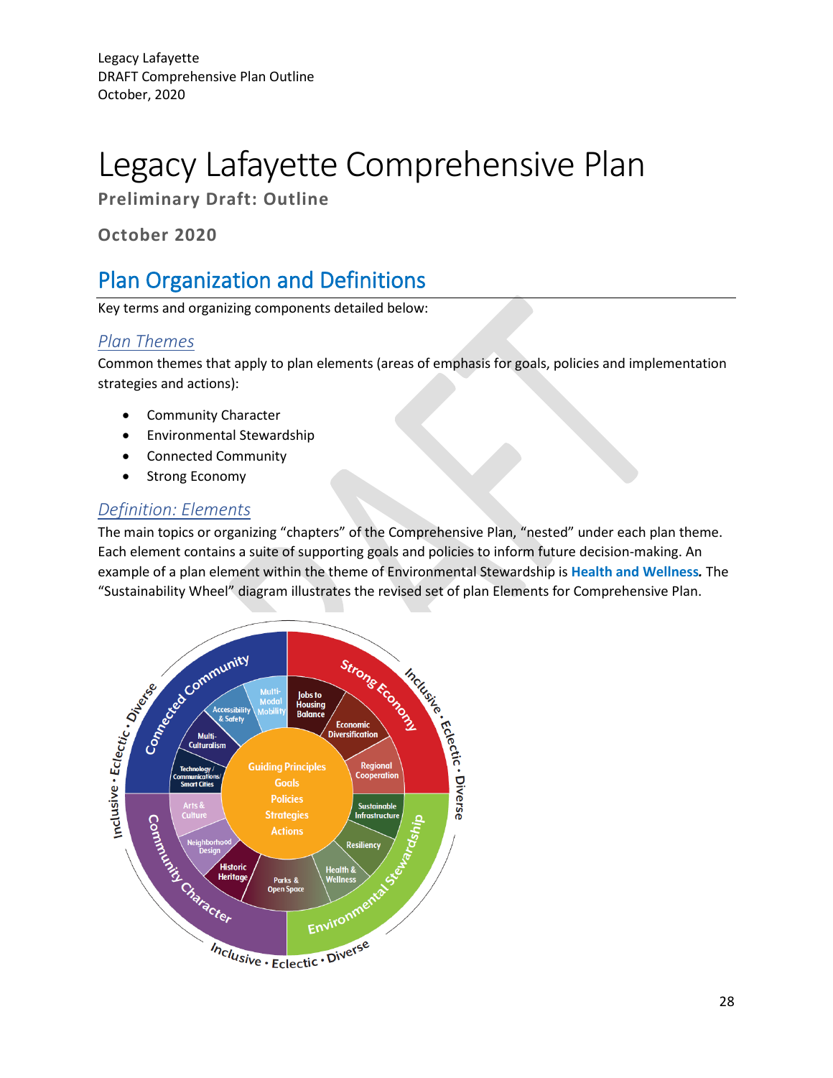# Legacy Lafayette Comprehensive Plan

**Preliminary Draft: Outline**

**October 2020**

# Plan Organization and Definitions

Key terms and organizing components detailed below:

# *Plan Themes*

Common themes that apply to plan elements (areas of emphasis for goals, policies and implementation strategies and actions):

- Community Character
- Environmental Stewardship
- Connected Community
- Strong Economy

# *Definition: Elements*

The main topics or organizing "chapters" of the Comprehensive Plan, "nested" under each plan theme. Each element contains a suite of supporting goals and policies to inform future decision-making. An example of a plan element within the theme of Environmental Stewardship is **Health and Wellness***.* The "Sustainability Wheel" diagram illustrates the revised set of plan Elements for Comprehensive Plan.

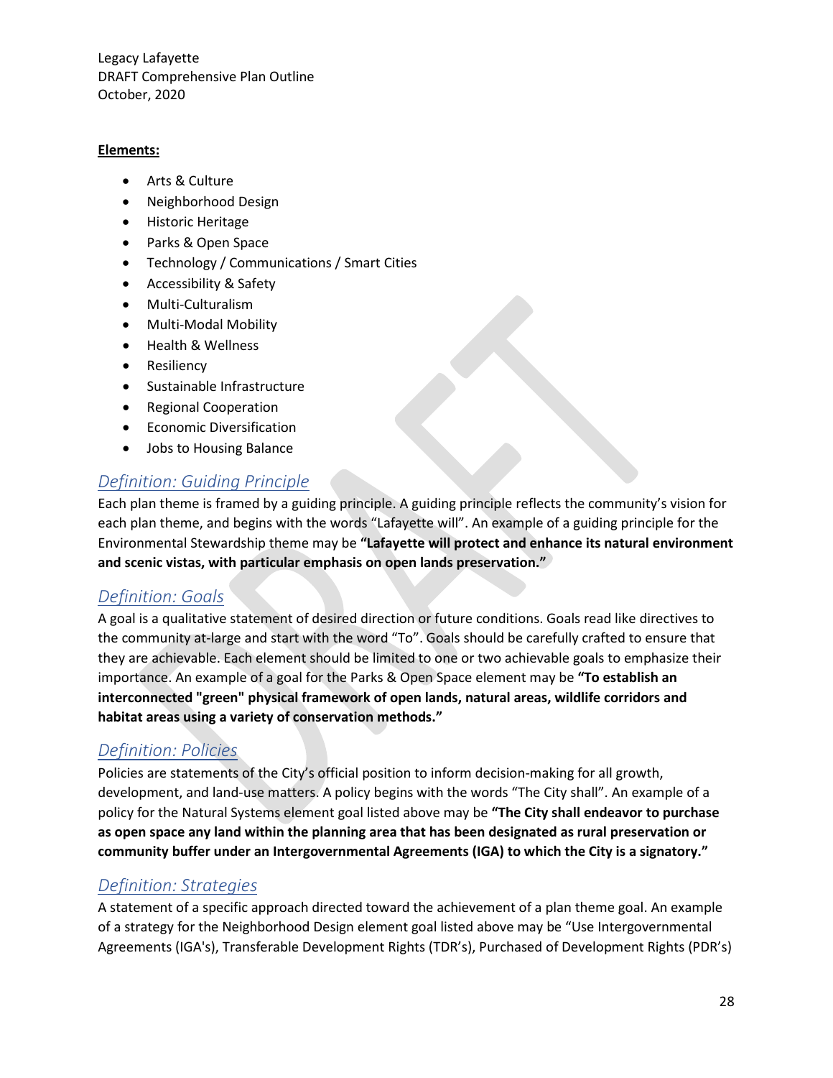#### **Elements:**

- Arts & Culture
- Neighborhood Design
- Historic Heritage
- Parks & Open Space
- Technology / Communications / Smart Cities
- Accessibility & Safety
- Multi-Culturalism
- Multi-Modal Mobility
- Health & Wellness
- Resiliency
- Sustainable Infrastructure
- Regional Cooperation
- Economic Diversification
- Jobs to Housing Balance

# *Definition: Guiding Principle*

Each plan theme is framed by a guiding principle. A guiding principle reflects the community's vision for each plan theme, and begins with the words "Lafayette will". An example of a guiding principle for the Environmental Stewardship theme may be **"Lafayette will protect and enhance its natural environment and scenic vistas, with particular emphasis on open lands preservation."**

# *Definition: Goals*

A goal is a qualitative statement of desired direction or future conditions. Goals read like directives to the community at-large and start with the word "To". Goals should be carefully crafted to ensure that they are achievable. Each element should be limited to one or two achievable goals to emphasize their importance. An example of a goal for the Parks & Open Space element may be **"To establish an interconnected "green" physical framework of open lands, natural areas, wildlife corridors and habitat areas using a variety of conservation methods."**

# *Definition: Policies*

Policies are statements of the City's official position to inform decision-making for all growth, development, and land-use matters. A policy begins with the words "The City shall". An example of a policy for the Natural Systems element goal listed above may be **"The City shall endeavor to purchase as open space any land within the planning area that has been designated as rural preservation or community buffer under an Intergovernmental Agreements (IGA) to which the City is a signatory."**

# *Definition: Strategies*

A statement of a specific approach directed toward the achievement of a plan theme goal. An example of a strategy for the Neighborhood Design element goal listed above may be "Use Intergovernmental Agreements (IGA's), Transferable Development Rights (TDR's), Purchased of Development Rights (PDR's)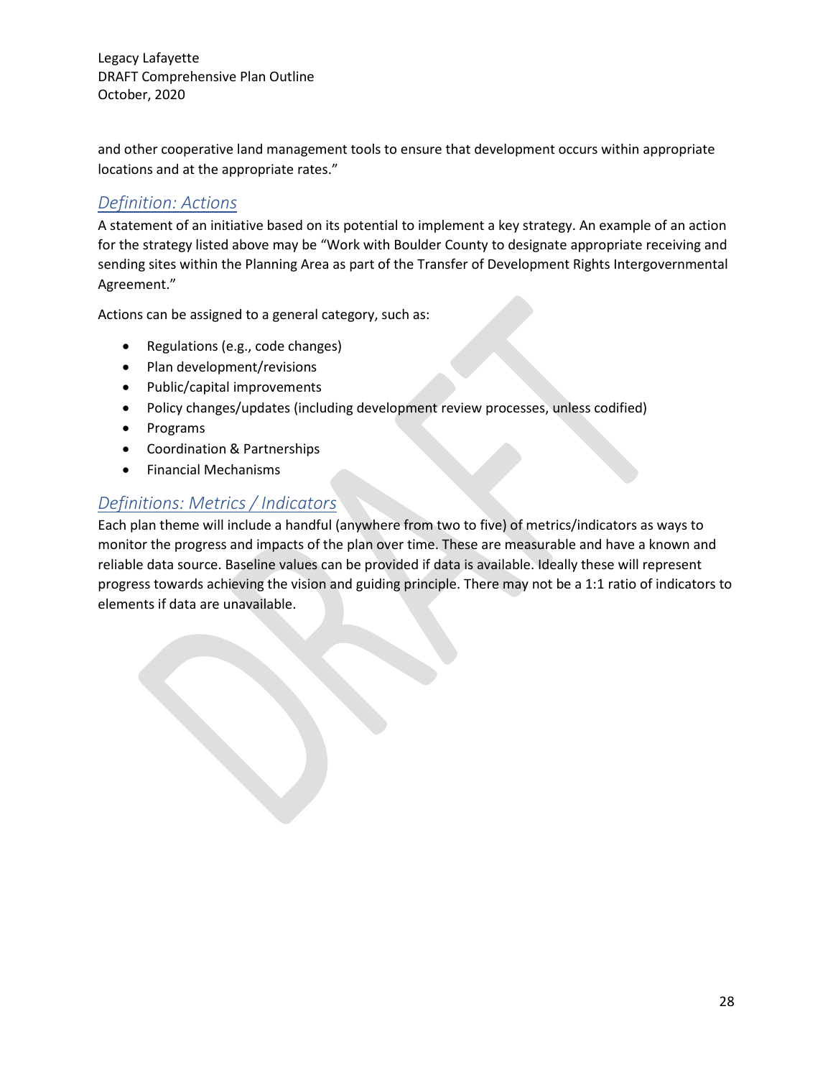and other cooperative land management tools to ensure that development occurs within appropriate locations and at the appropriate rates."

### *Definition: Actions*

A statement of an initiative based on its potential to implement a key strategy. An example of an action for the strategy listed above may be "Work with Boulder County to designate appropriate receiving and sending sites within the Planning Area as part of the Transfer of Development Rights Intergovernmental Agreement."

Actions can be assigned to a general category, such as:

- Regulations (e.g., code changes)
- Plan development/revisions
- Public/capital improvements
- Policy changes/updates (including development review processes, unless codified)
- Programs
- Coordination & Partnerships
- Financial Mechanisms

### *Definitions: Metrics / Indicators*

Each plan theme will include a handful (anywhere from two to five) of metrics/indicators as ways to monitor the progress and impacts of the plan over time. These are measurable and have a known and reliable data source. Baseline values can be provided if data is available. Ideally these will represent progress towards achieving the vision and guiding principle. There may not be a 1:1 ratio of indicators to elements if data are unavailable.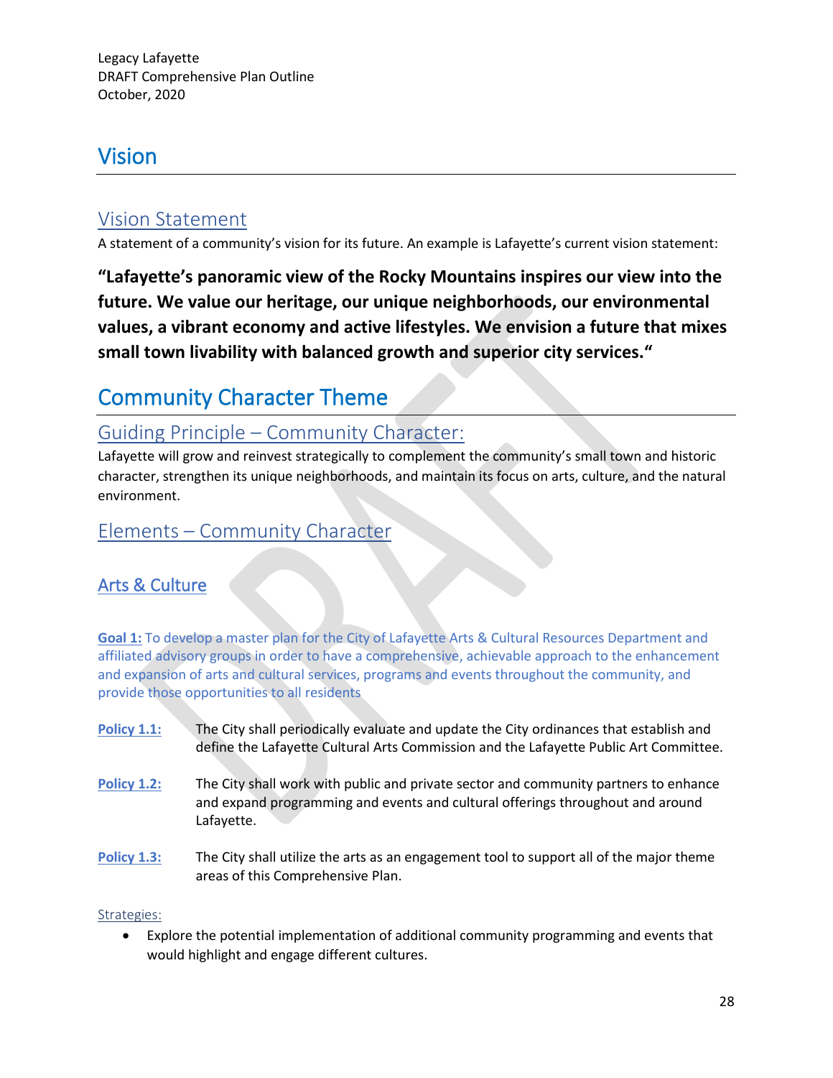# Vision

# Vision Statement

A statement of a community's vision for its future. An example is Lafayette's current vision statement:

**"Lafayette's panoramic view of the Rocky Mountains inspires our view into the future. We value our heritage, our unique neighborhoods, our environmental values, a vibrant economy and active lifestyles. We envision a future that mixes small town livability with balanced growth and superior city services."**

# Community Character Theme

# Guiding Principle – Community Character:

Lafayette will grow and reinvest strategically to complement the community's small town and historic character, strengthen its unique neighborhoods, and maintain its focus on arts, culture, and the natural environment.

# Elements – Community Character

# Arts & Culture

**Goal 1:** To develop a master plan for the City of Lafayette Arts & Cultural Resources Department and affiliated advisory groups in order to have a comprehensive, achievable approach to the enhancement and expansion of arts and cultural services, programs and events throughout the community, and provide those opportunities to all residents

- **Policy 1.1:** The City shall periodically evaluate and update the City ordinances that establish and define the Lafayette Cultural Arts Commission and the Lafayette Public Art Committee.
- **Policy 1.2:** The City shall work with public and private sector and community partners to enhance and expand programming and events and cultural offerings throughout and around Lafayette.
- **Policy 1.3:** The City shall utilize the arts as an engagement tool to support all of the major theme areas of this Comprehensive Plan.

#### Strategies:

• Explore the potential implementation of additional community programming and events that would highlight and engage different cultures.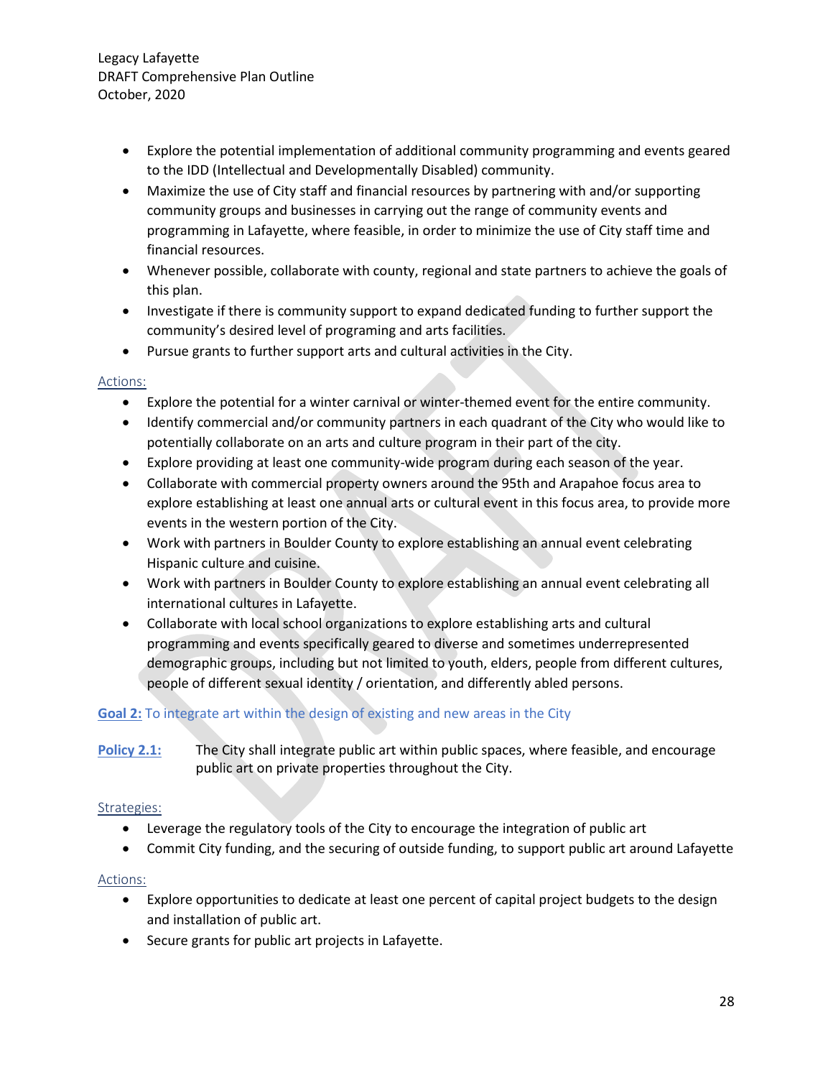- Explore the potential implementation of additional community programming and events geared to the IDD (Intellectual and Developmentally Disabled) community.
- Maximize the use of City staff and financial resources by partnering with and/or supporting community groups and businesses in carrying out the range of community events and programming in Lafayette, where feasible, in order to minimize the use of City staff time and financial resources.
- Whenever possible, collaborate with county, regional and state partners to achieve the goals of this plan.
- Investigate if there is community support to expand dedicated funding to further support the community's desired level of programing and arts facilities.
- Pursue grants to further support arts and cultural activities in the City.

#### Actions:

- Explore the potential for a winter carnival or winter-themed event for the entire community.
- Identify commercial and/or community partners in each quadrant of the City who would like to potentially collaborate on an arts and culture program in their part of the city.
- Explore providing at least one community-wide program during each season of the year.
- Collaborate with commercial property owners around the 95th and Arapahoe focus area to explore establishing at least one annual arts or cultural event in this focus area, to provide more events in the western portion of the City.
- Work with partners in Boulder County to explore establishing an annual event celebrating Hispanic culture and cuisine.
- Work with partners in Boulder County to explore establishing an annual event celebrating all international cultures in Lafayette.
- Collaborate with local school organizations to explore establishing arts and cultural programming and events specifically geared to diverse and sometimes underrepresented demographic groups, including but not limited to youth, elders, people from different cultures, people of different sexual identity / orientation, and differently abled persons.

#### **Goal 2:** To integrate art within the design of existing and new areas in the City

**Policy 2.1:** The City shall integrate public art within public spaces, where feasible, and encourage public art on private properties throughout the City.

#### Strategies:

- Leverage the regulatory tools of the City to encourage the integration of public art
- Commit City funding, and the securing of outside funding, to support public art around Lafayette

#### Actions:

- Explore opportunities to dedicate at least one percent of capital project budgets to the design and installation of public art.
- Secure grants for public art projects in Lafayette.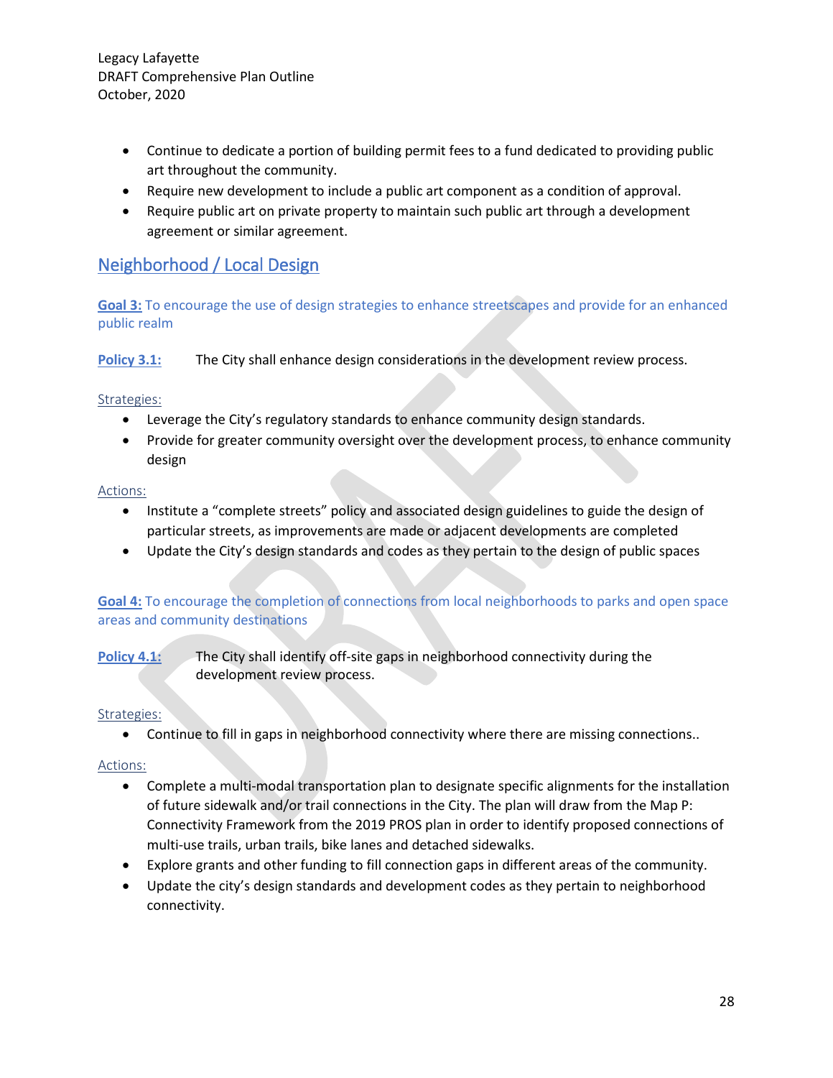- Continue to dedicate a portion of building permit fees to a fund dedicated to providing public art throughout the community.
- Require new development to include a public art component as a condition of approval.
- Require public art on private property to maintain such public art through a development agreement or similar agreement.

# Neighborhood / Local Design

**Goal 3:** To encourage the use of design strategies to enhance streetscapes and provide for an enhanced public realm

**Policy 3.1:** The City shall enhance design considerations in the development review process.

#### Strategies:

- Leverage the City's regulatory standards to enhance community design standards.
- Provide for greater community oversight over the development process, to enhance community design

#### Actions:

- Institute a "complete streets" policy and associated design guidelines to guide the design of particular streets, as improvements are made or adjacent developments are completed
- Update the City's design standards and codes as they pertain to the design of public spaces

#### **Goal 4:** To encourage the completion of connections from local neighborhoods to parks and open space areas and community destinations

**Policy 4.1:** The City shall identify off-site gaps in neighborhood connectivity during the development review process.

#### Strategies:

• Continue to fill in gaps in neighborhood connectivity where there are missing connections..

#### Actions:

- Complete a multi-modal transportation plan to designate specific alignments for the installation of future sidewalk and/or trail connections in the City. The plan will draw from the Map P: Connectivity Framework from the 2019 PROS plan in order to identify proposed connections of multi-use trails, urban trails, bike lanes and detached sidewalks.
- Explore grants and other funding to fill connection gaps in different areas of the community.
- Update the city's design standards and development codes as they pertain to neighborhood connectivity.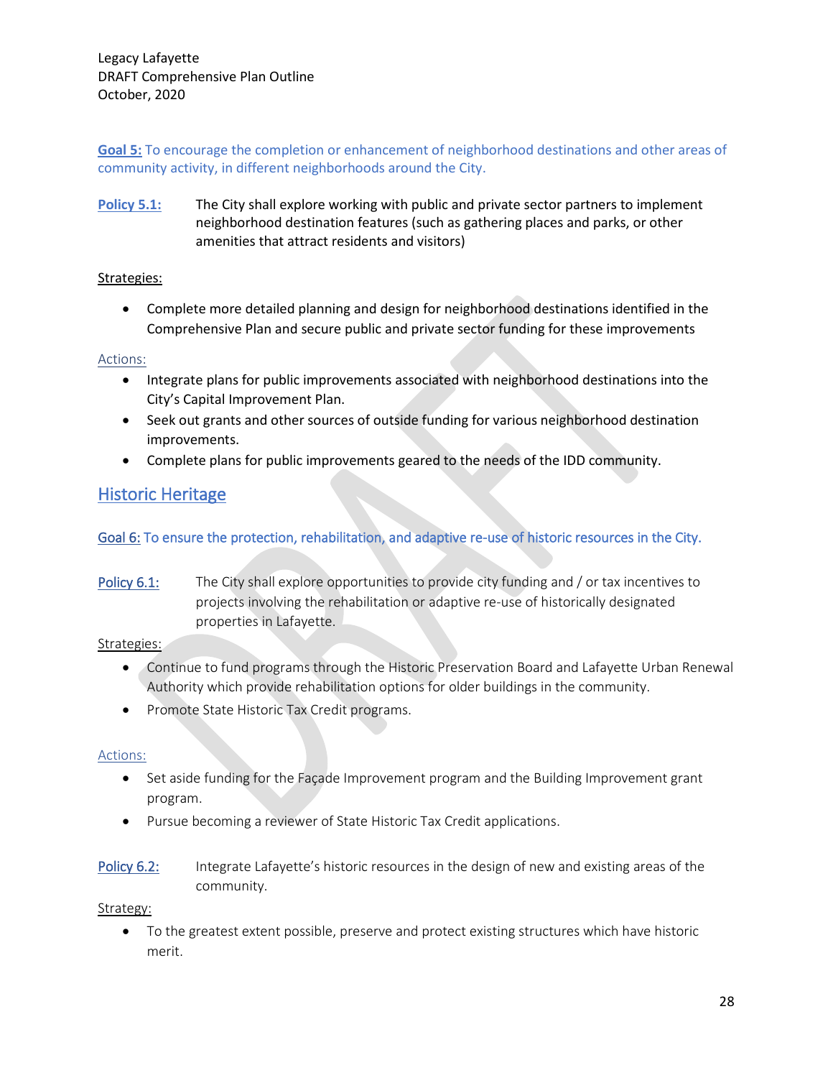**Goal 5:** To encourage the completion or enhancement of neighborhood destinations and other areas of community activity, in different neighborhoods around the City.

**Policy 5.1:** The City shall explore working with public and private sector partners to implement neighborhood destination features (such as gathering places and parks, or other amenities that attract residents and visitors)

#### Strategies:

• Complete more detailed planning and design for neighborhood destinations identified in the Comprehensive Plan and secure public and private sector funding for these improvements

#### Actions:

- Integrate plans for public improvements associated with neighborhood destinations into the City's Capital Improvement Plan.
- Seek out grants and other sources of outside funding for various neighborhood destination improvements.
- Complete plans for public improvements geared to the needs of the IDD community.

# Historic Heritage

#### Goal 6: To ensure the protection, rehabilitation, and adaptive re-use of historic resources in the City.

Policy 6.1: The City shall explore opportunities to provide city funding and / or tax incentives to projects involving the rehabilitation or adaptive re-use of historically designated properties in Lafayette.

#### Strategies:

- Continue to fund programs through the Historic Preservation Board and Lafayette Urban Renewal Authority which provide rehabilitation options for older buildings in the community.
- Promote State Historic Tax Credit programs.

#### Actions:

- Set aside funding for the Façade Improvement program and the Building Improvement grant program.
- Pursue becoming a reviewer of State Historic Tax Credit applications.
- Policy 6.2: Integrate Lafayette's historic resources in the design of new and existing areas of the community.

#### Strategy:

• To the greatest extent possible, preserve and protect existing structures which have historic merit.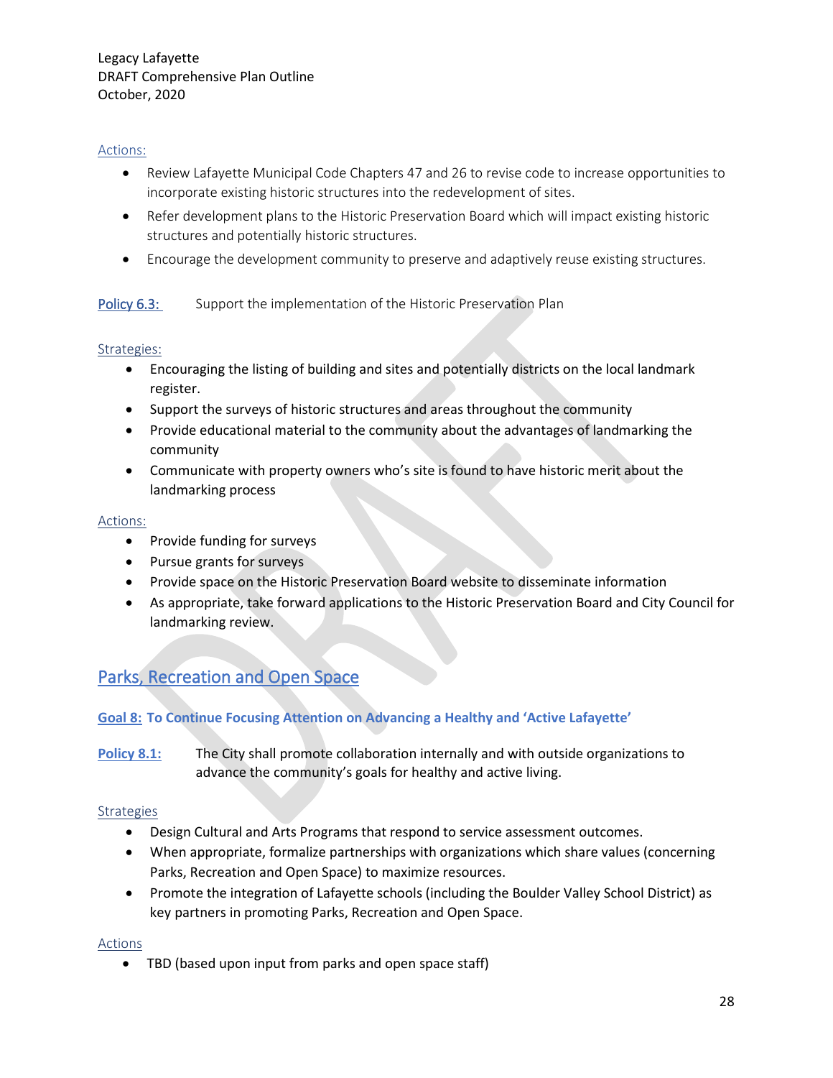#### Actions:

- Review Lafayette Municipal Code Chapters 47 and 26 to revise code to increase opportunities to incorporate existing historic structures into the redevelopment of sites.
- Refer development plans to the Historic Preservation Board which will impact existing historic structures and potentially historic structures.
- Encourage the development community to preserve and adaptively reuse existing structures.

#### Policy 6.3: Support the implementation of the Historic Preservation Plan

#### Strategies:

- Encouraging the listing of building and sites and potentially districts on the local landmark register.
- Support the surveys of historic structures and areas throughout the community
- Provide educational material to the community about the advantages of landmarking the community
- Communicate with property owners who's site is found to have historic merit about the landmarking process

#### Actions:

- Provide funding for surveys
- Pursue grants for surveys
- Provide space on the Historic Preservation Board website to disseminate information
- As appropriate, take forward applications to the Historic Preservation Board and City Council for landmarking review.

# Parks, Recreation and Open Space

#### **Goal 8: To Continue Focusing Attention on Advancing a Healthy and 'Active Lafayette'**

**Policy 8.1:** The City shall promote collaboration internally and with outside organizations to advance the community's goals for healthy and active living.

#### **Strategies**

- Design Cultural and Arts Programs that respond to service assessment outcomes.
- When appropriate, formalize partnerships with organizations which share values (concerning Parks, Recreation and Open Space) to maximize resources.
- Promote the integration of Lafayette schools (including the Boulder Valley School District) as key partners in promoting Parks, Recreation and Open Space.

#### Actions

• TBD (based upon input from parks and open space staff)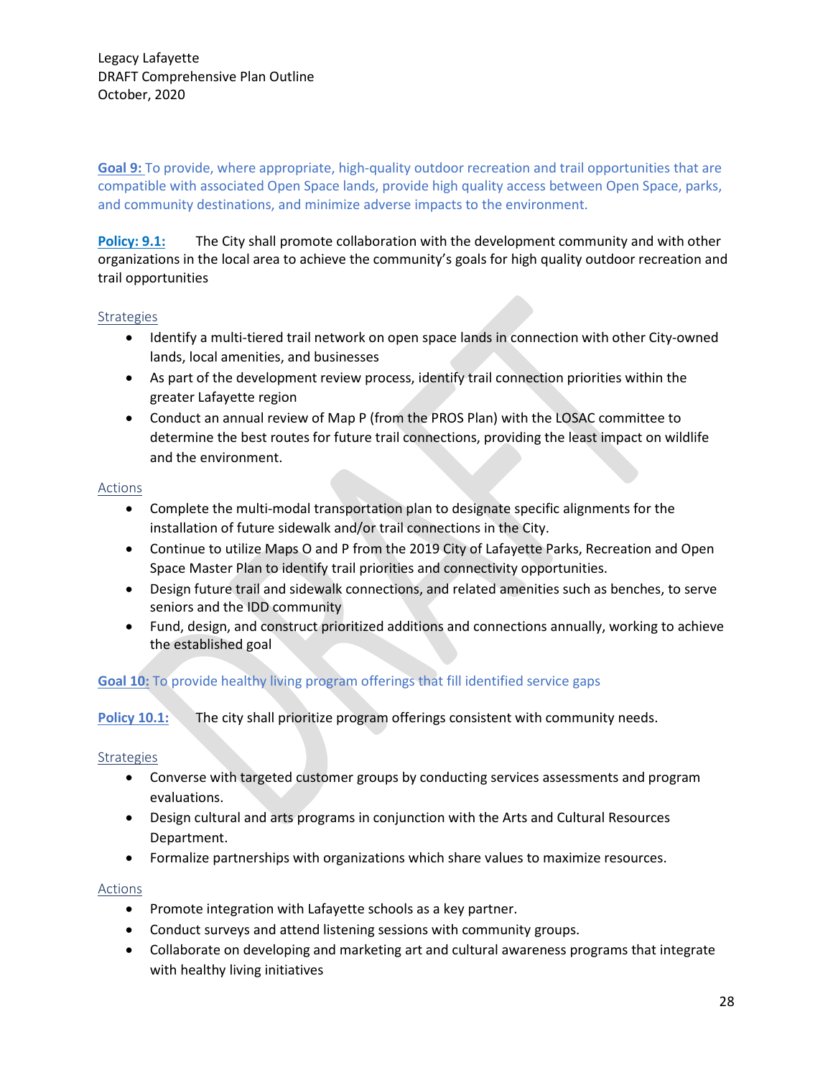**Goal 9:** To provide, where appropriate, high-quality outdoor recreation and trail opportunities that are compatible with associated Open Space lands, provide high quality access between Open Space, parks, and community destinations, and minimize adverse impacts to the environment.

**Policy: 9.1:** The City shall promote collaboration with the development community and with other organizations in the local area to achieve the community's goals for high quality outdoor recreation and trail opportunities

#### Strategies

- Identify a multi-tiered trail network on open space lands in connection with other City-owned lands, local amenities, and businesses
- As part of the development review process, identify trail connection priorities within the greater Lafayette region
- Conduct an annual review of Map P (from the PROS Plan) with the LOSAC committee to determine the best routes for future trail connections, providing the least impact on wildlife and the environment.

#### Actions

- Complete the multi-modal transportation plan to designate specific alignments for the installation of future sidewalk and/or trail connections in the City.
- Continue to utilize Maps O and P from the 2019 City of Lafayette Parks, Recreation and Open Space Master Plan to identify trail priorities and connectivity opportunities.
- Design future trail and sidewalk connections, and related amenities such as benches, to serve seniors and the IDD community
- Fund, design, and construct prioritized additions and connections annually, working to achieve the established goal

#### **Goal 10:** To provide healthy living program offerings that fill identified service gaps

#### **Policy 10.1:** The city shall prioritize program offerings consistent with community needs.

#### Strategies

- Converse with targeted customer groups by conducting services assessments and program evaluations.
- Design cultural and arts programs in conjunction with the Arts and Cultural Resources Department.
- Formalize partnerships with organizations which share values to maximize resources.

#### Actions

- Promote integration with Lafayette schools as a key partner.
- Conduct surveys and attend listening sessions with community groups.
- Collaborate on developing and marketing art and cultural awareness programs that integrate with healthy living initiatives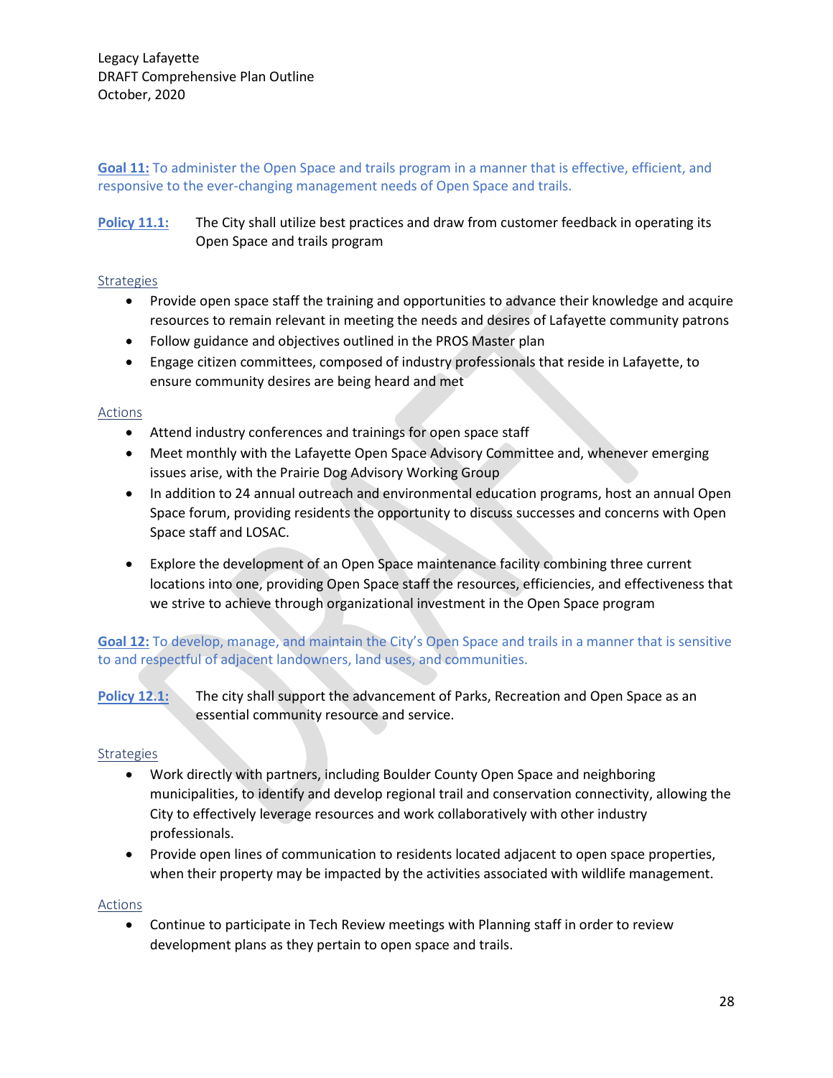**Goal 11:** To administer the Open Space and trails program in a manner that is effective, efficient, and responsive to the ever-changing management needs of Open Space and trails.

**Policy 11.1:** The City shall utilize best practices and draw from customer feedback in operating its Open Space and trails program

#### **Strategies**

- Provide open space staff the training and opportunities to advance their knowledge and acquire resources to remain relevant in meeting the needs and desires of Lafayette community patrons
- Follow guidance and objectives outlined in the PROS Master plan
- Engage citizen committees, composed of industry professionals that reside in Lafayette, to ensure community desires are being heard and met

#### Actions

- Attend industry conferences and trainings for open space staff
- Meet monthly with the Lafayette Open Space Advisory Committee and, whenever emerging issues arise, with the Prairie Dog Advisory Working Group
- In addition to 24 annual outreach and environmental education programs, host an annual Open Space forum, providing residents the opportunity to discuss successes and concerns with Open Space staff and LOSAC.
- Explore the development of an Open Space maintenance facility combining three current locations into one, providing Open Space staff the resources, efficiencies, and effectiveness that we strive to achieve through organizational investment in the Open Space program

**Goal 12:** To develop, manage, and maintain the City's Open Space and trails in a manner that is sensitive to and respectful of adjacent landowners, land uses, and communities.

**Policy 12.1:** The city shall support the advancement of Parks, Recreation and Open Space as an essential community resource and service.

#### **Strategies**

- Work directly with partners, including Boulder County Open Space and neighboring municipalities, to identify and develop regional trail and conservation connectivity, allowing the City to effectively leverage resources and work collaboratively with other industry professionals.
- Provide open lines of communication to residents located adjacent to open space properties, when their property may be impacted by the activities associated with wildlife management.

#### Actions

• Continue to participate in Tech Review meetings with Planning staff in order to review development plans as they pertain to open space and trails.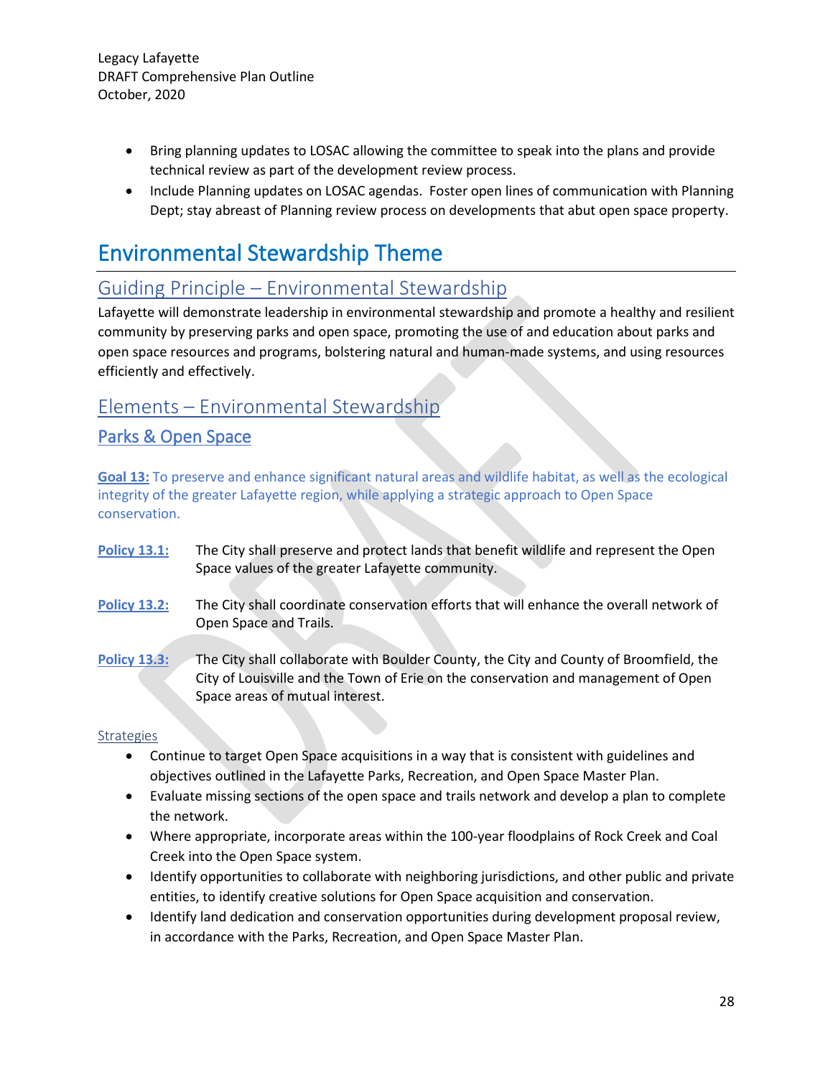- Bring planning updates to LOSAC allowing the committee to speak into the plans and provide technical review as part of the development review process.
- Include Planning updates on LOSAC agendas. Foster open lines of communication with Planning Dept; stay abreast of Planning review process on developments that abut open space property.

# Environmental Stewardship Theme

# Guiding Principle – Environmental Stewardship

Lafayette will demonstrate leadership in environmental stewardship and promote a healthy and resilient community by preserving parks and open space, promoting the use of and education about parks and open space resources and programs, bolstering natural and human-made systems, and using resources efficiently and effectively.

# Elements – Environmental Stewardship

# Parks & Open Space

**Goal 13:** To preserve and enhance significant natural areas and wildlife habitat, as well as the ecological integrity of the greater Lafayette region, while applying a strategic approach to Open Space conservation.

- **Policy 13.1:** The City shall preserve and protect lands that benefit wildlife and represent the Open Space values of the greater Lafayette community.
- **Policy 13.2:** The City shall coordinate conservation efforts that will enhance the overall network of Open Space and Trails.
- **Policy 13.3:** The City shall collaborate with Boulder County, the City and County of Broomfield, the City of Louisville and the Town of Erie on the conservation and management of Open Space areas of mutual interest.

#### **Strategies**

- Continue to target Open Space acquisitions in a way that is consistent with guidelines and objectives outlined in the Lafayette Parks, Recreation, and Open Space Master Plan.
- Evaluate missing sections of the open space and trails network and develop a plan to complete the network.
- Where appropriate, incorporate areas within the 100-year floodplains of Rock Creek and Coal Creek into the Open Space system.
- Identify opportunities to collaborate with neighboring jurisdictions, and other public and private entities, to identify creative solutions for Open Space acquisition and conservation.
- Identify land dedication and conservation opportunities during development proposal review, in accordance with the Parks, Recreation, and Open Space Master Plan.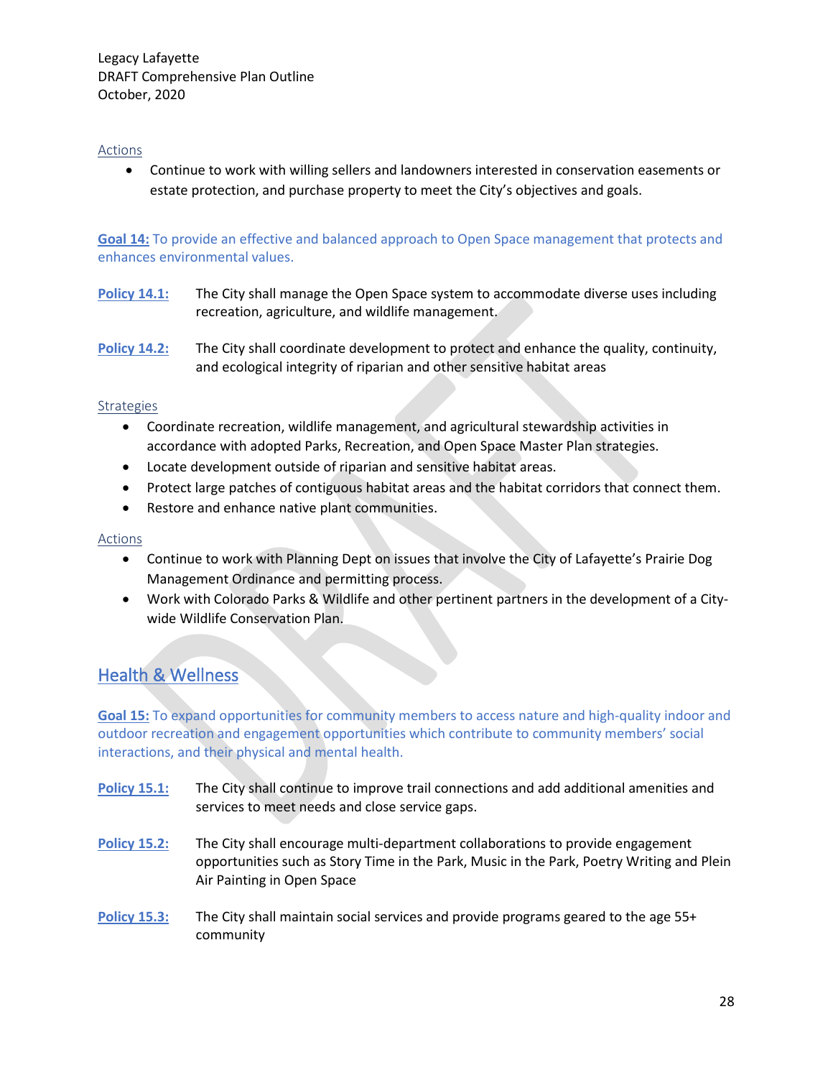#### Actions

• Continue to work with willing sellers and landowners interested in conservation easements or estate protection, and purchase property to meet the City's objectives and goals.

**Goal 14:** To provide an effective and balanced approach to Open Space management that protects and enhances environmental values.

- **Policy 14.1:** The City shall manage the Open Space system to accommodate diverse uses including recreation, agriculture, and wildlife management.
- **Policy 14.2:** The City shall coordinate development to protect and enhance the quality, continuity, and ecological integrity of riparian and other sensitive habitat areas

#### **Strategies**

- Coordinate recreation, wildlife management, and agricultural stewardship activities in accordance with adopted Parks, Recreation, and Open Space Master Plan strategies.
- Locate development outside of riparian and sensitive habitat areas.
- Protect large patches of contiguous habitat areas and the habitat corridors that connect them.
- Restore and enhance native plant communities.

#### Actions

- Continue to work with Planning Dept on issues that involve the City of Lafayette's Prairie Dog Management Ordinance and permitting process.
- Work with Colorado Parks & Wildlife and other pertinent partners in the development of a Citywide Wildlife Conservation Plan.

# Health & Wellness

**Goal 15:** To expand opportunities for community members to access nature and high-quality indoor and outdoor recreation and engagement opportunities which contribute to community members' social interactions, and their physical and mental health.

- **Policy 15.1:** The City shall continue to improve trail connections and add additional amenities and services to meet needs and close service gaps.
- **Policy 15.2:** The City shall encourage multi-department collaborations to provide engagement opportunities such as Story Time in the Park, Music in the Park, Poetry Writing and Plein Air Painting in Open Space
- **Policy 15.3:** The City shall maintain social services and provide programs geared to the age 55+ community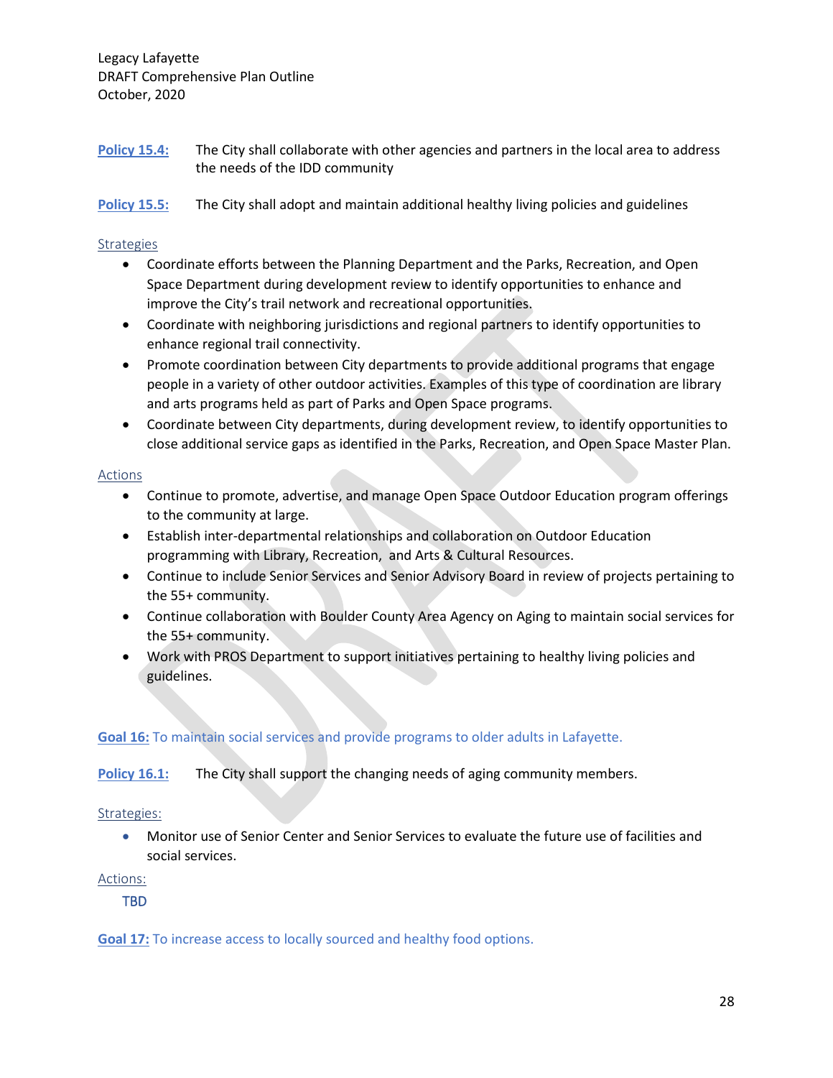- **Policy 15.4:** The City shall collaborate with other agencies and partners in the local area to address the needs of the IDD community
- **Policy 15.5:** The City shall adopt and maintain additional healthy living policies and guidelines

#### **Strategies**

- Coordinate efforts between the Planning Department and the Parks, Recreation, and Open Space Department during development review to identify opportunities to enhance and improve the City's trail network and recreational opportunities.
- Coordinate with neighboring jurisdictions and regional partners to identify opportunities to enhance regional trail connectivity.
- Promote coordination between City departments to provide additional programs that engage people in a variety of other outdoor activities. Examples of this type of coordination are library and arts programs held as part of Parks and Open Space programs.
- Coordinate between City departments, during development review, to identify opportunities to close additional service gaps as identified in the Parks, Recreation, and Open Space Master Plan.

#### **Actions**

- Continue to promote, advertise, and manage Open Space Outdoor Education program offerings to the community at large.
- Establish inter-departmental relationships and collaboration on Outdoor Education programming with Library, Recreation, and Arts & Cultural Resources.
- Continue to include Senior Services and Senior Advisory Board in review of projects pertaining to the 55+ community.
- Continue collaboration with Boulder County Area Agency on Aging to maintain social services for the 55+ community.
- Work with PROS Department to support initiatives pertaining to healthy living policies and guidelines.

#### **Goal 16:** To maintain social services and provide programs to older adults in Lafayette.

**Policy 16.1:** The City shall support the changing needs of aging community members.

#### Strategies:

• Monitor use of Senior Center and Senior Services to evaluate the future use of facilities and social services.

#### Actions:

TBD

**Goal 17:** To increase access to locally sourced and healthy food options.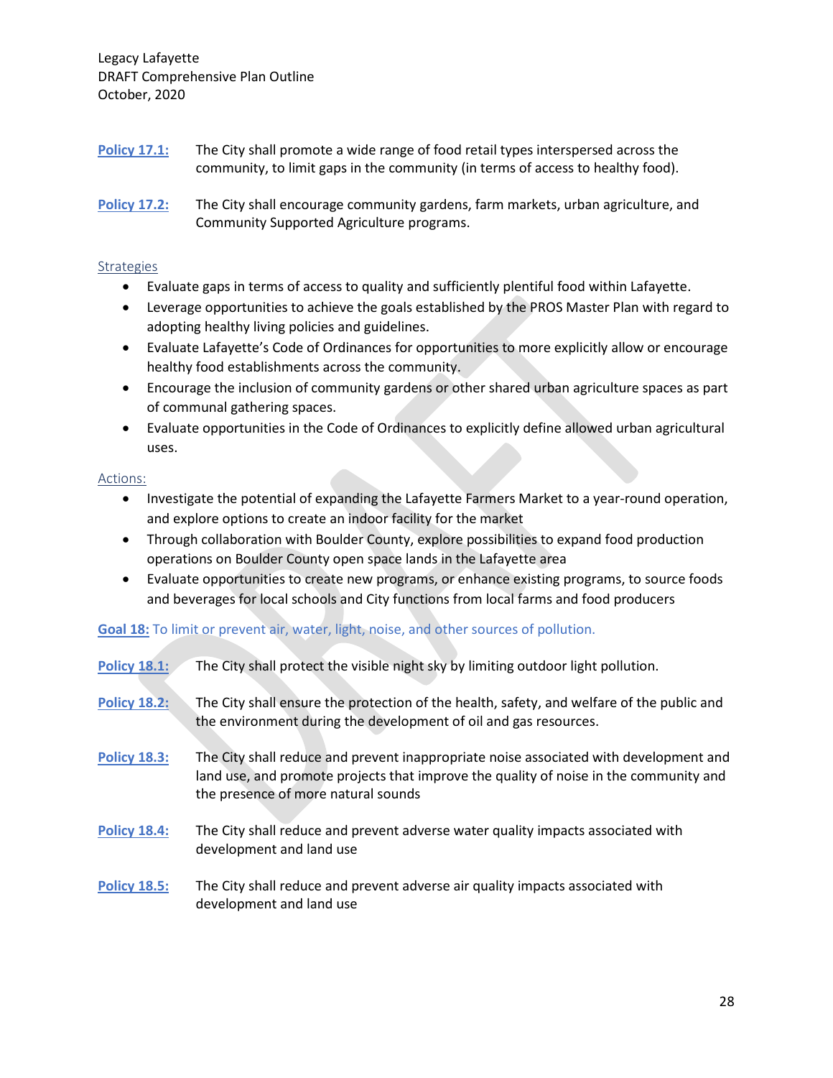- **Policy 17.1:** The City shall promote a wide range of food retail types interspersed across the community, to limit gaps in the community (in terms of access to healthy food).
- **Policy 17.2:** The City shall encourage community gardens, farm markets, urban agriculture, and Community Supported Agriculture programs.

#### **Strategies**

- Evaluate gaps in terms of access to quality and sufficiently plentiful food within Lafayette.
- Leverage opportunities to achieve the goals established by the PROS Master Plan with regard to adopting healthy living policies and guidelines.
- Evaluate Lafayette's Code of Ordinances for opportunities to more explicitly allow or encourage healthy food establishments across the community.
- Encourage the inclusion of community gardens or other shared urban agriculture spaces as part of communal gathering spaces.
- Evaluate opportunities in the Code of Ordinances to explicitly define allowed urban agricultural uses.

#### Actions:

- Investigate the potential of expanding the Lafayette Farmers Market to a year-round operation, and explore options to create an indoor facility for the market
- Through collaboration with Boulder County, explore possibilities to expand food production operations on Boulder County open space lands in the Lafayette area
- Evaluate opportunities to create new programs, or enhance existing programs, to source foods and beverages for local schools and City functions from local farms and food producers

#### **Goal 18:** To limit or prevent air, water, light, noise, and other sources of pollution.

| <b>Policy 18.1:</b> | The City shall protect the visible night sky by limiting outdoor light pollution.                                                                                                                                     |
|---------------------|-----------------------------------------------------------------------------------------------------------------------------------------------------------------------------------------------------------------------|
| <b>Policy 18.2:</b> | The City shall ensure the protection of the health, safety, and welfare of the public and<br>the environment during the development of oil and gas resources.                                                         |
| <b>Policy 18.3:</b> | The City shall reduce and prevent inappropriate noise associated with development and<br>land use, and promote projects that improve the quality of noise in the community and<br>the presence of more natural sounds |
| <b>Policy 18.4:</b> | The City shall reduce and prevent adverse water quality impacts associated with<br>development and land use                                                                                                           |
| <b>Policy 18.5:</b> | The City shall reduce and prevent adverse air quality impacts associated with<br>development and land use                                                                                                             |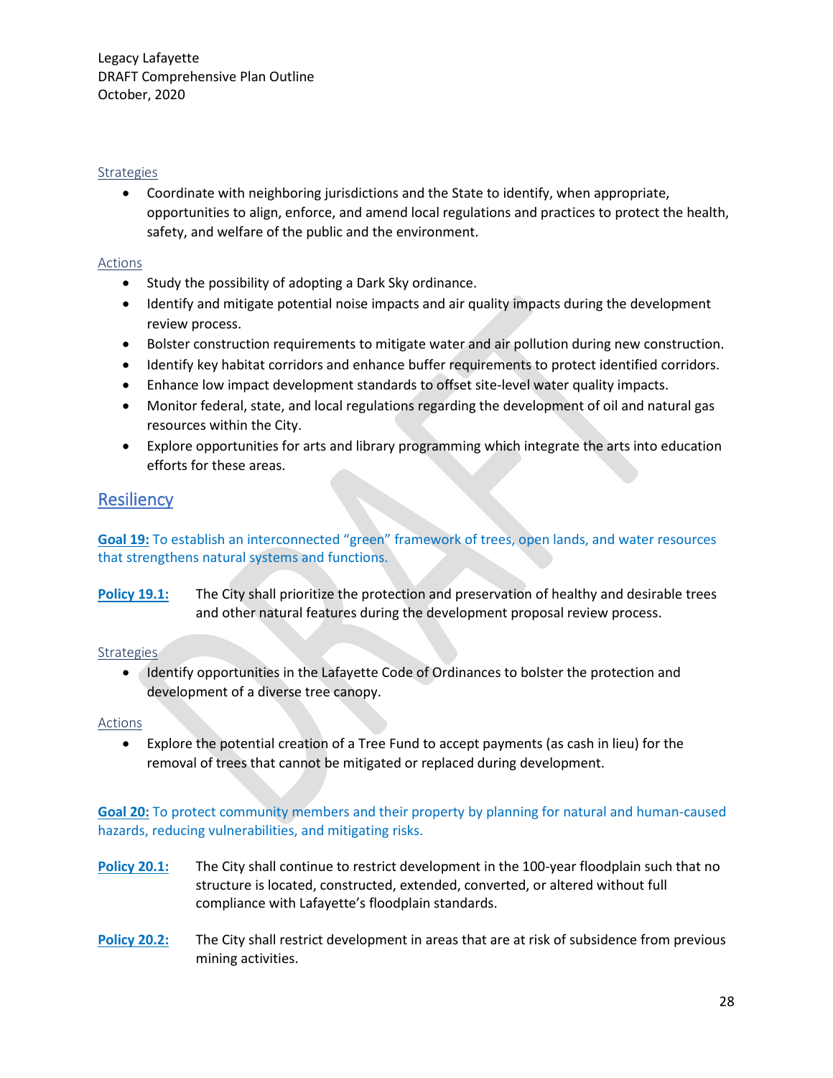#### Strategies

• Coordinate with neighboring jurisdictions and the State to identify, when appropriate, opportunities to align, enforce, and amend local regulations and practices to protect the health, safety, and welfare of the public and the environment.

#### Actions

- Study the possibility of adopting a Dark Sky ordinance.
- Identify and mitigate potential noise impacts and air quality impacts during the development review process.
- Bolster construction requirements to mitigate water and air pollution during new construction.
- Identify key habitat corridors and enhance buffer requirements to protect identified corridors.
- Enhance low impact development standards to offset site-level water quality impacts.
- Monitor federal, state, and local regulations regarding the development of oil and natural gas resources within the City.
- Explore opportunities for arts and library programming which integrate the arts into education efforts for these areas.

# **Resiliency**

#### **Goal 19:** To establish an interconnected "green" framework of trees, open lands, and water resources that strengthens natural systems and functions.

**Policy 19.1:** The City shall prioritize the protection and preservation of healthy and desirable trees and other natural features during the development proposal review process.

#### **Strategies**

• Identify opportunities in the Lafayette Code of Ordinances to bolster the protection and development of a diverse tree canopy.

#### Actions

• Explore the potential creation of a Tree Fund to accept payments (as cash in lieu) for the removal of trees that cannot be mitigated or replaced during development.

**Goal 20:** To protect community members and their property by planning for natural and human-caused hazards, reducing vulnerabilities, and mitigating risks.

- **Policy 20.1:** The City shall continue to restrict development in the 100-year floodplain such that no structure is located, constructed, extended, converted, or altered without full compliance with Lafayette's floodplain standards.
- **Policy 20.2:** The City shall restrict development in areas that are at risk of subsidence from previous mining activities.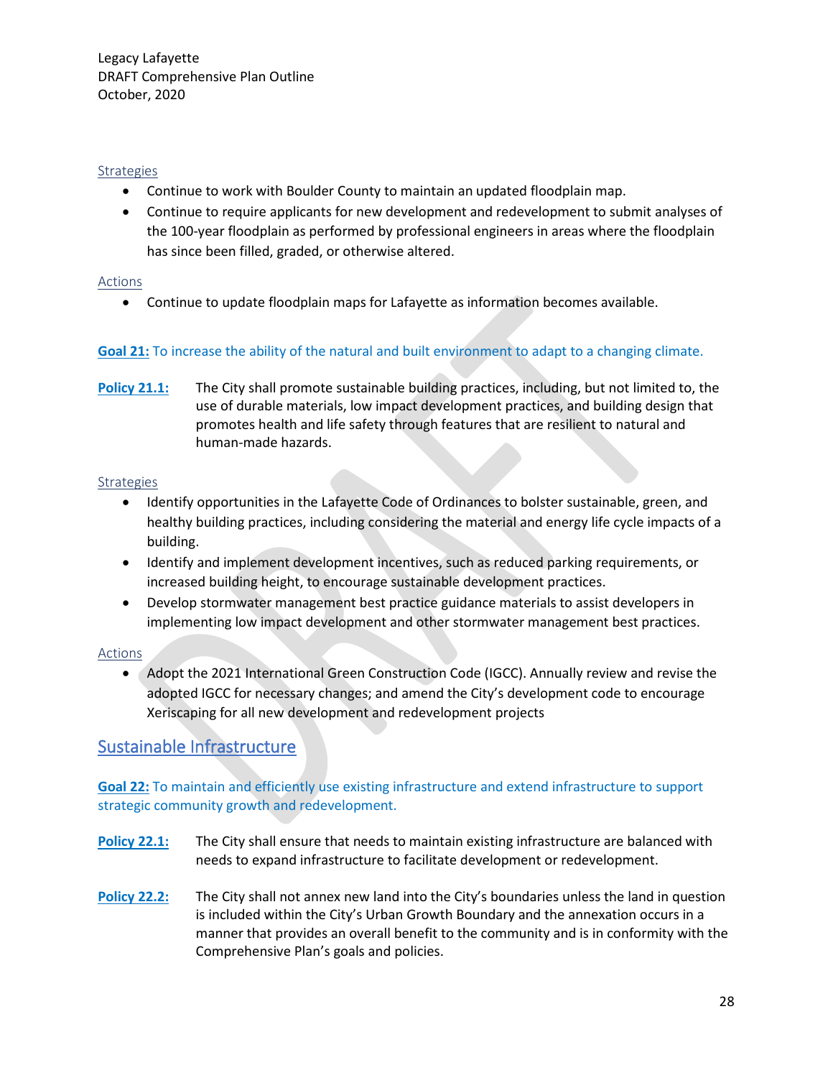#### Strategies

- Continue to work with Boulder County to maintain an updated floodplain map.
- Continue to require applicants for new development and redevelopment to submit analyses of the 100-year floodplain as performed by professional engineers in areas where the floodplain has since been filled, graded, or otherwise altered.

#### Actions

• Continue to update floodplain maps for Lafayette as information becomes available.

#### **Goal 21:** To increase the ability of the natural and built environment to adapt to a changing climate.

**Policy 21.1:** The City shall promote sustainable building practices, including, but not limited to, the use of durable materials, low impact development practices, and building design that promotes health and life safety through features that are resilient to natural and human-made hazards.

#### **Strategies**

- Identify opportunities in the Lafayette Code of Ordinances to bolster sustainable, green, and healthy building practices, including considering the material and energy life cycle impacts of a building.
- Identify and implement development incentives, such as reduced parking requirements, or increased building height, to encourage sustainable development practices.
- Develop stormwater management best practice guidance materials to assist developers in implementing low impact development and other stormwater management best practices.

#### Actions

• Adopt the 2021 International Green Construction Code (IGCC). Annually review and revise the adopted IGCC for necessary changes; and amend the City's development code to encourage Xeriscaping for all new development and redevelopment projects

# Sustainable Infrastructure

#### **Goal 22:** To maintain and efficiently use existing infrastructure and extend infrastructure to support strategic community growth and redevelopment.

- **Policy 22.1:** The City shall ensure that needs to maintain existing infrastructure are balanced with needs to expand infrastructure to facilitate development or redevelopment.
- **Policy 22.2:** The City shall not annex new land into the City's boundaries unless the land in question is included within the City's Urban Growth Boundary and the annexation occurs in a manner that provides an overall benefit to the community and is in conformity with the Comprehensive Plan's goals and policies.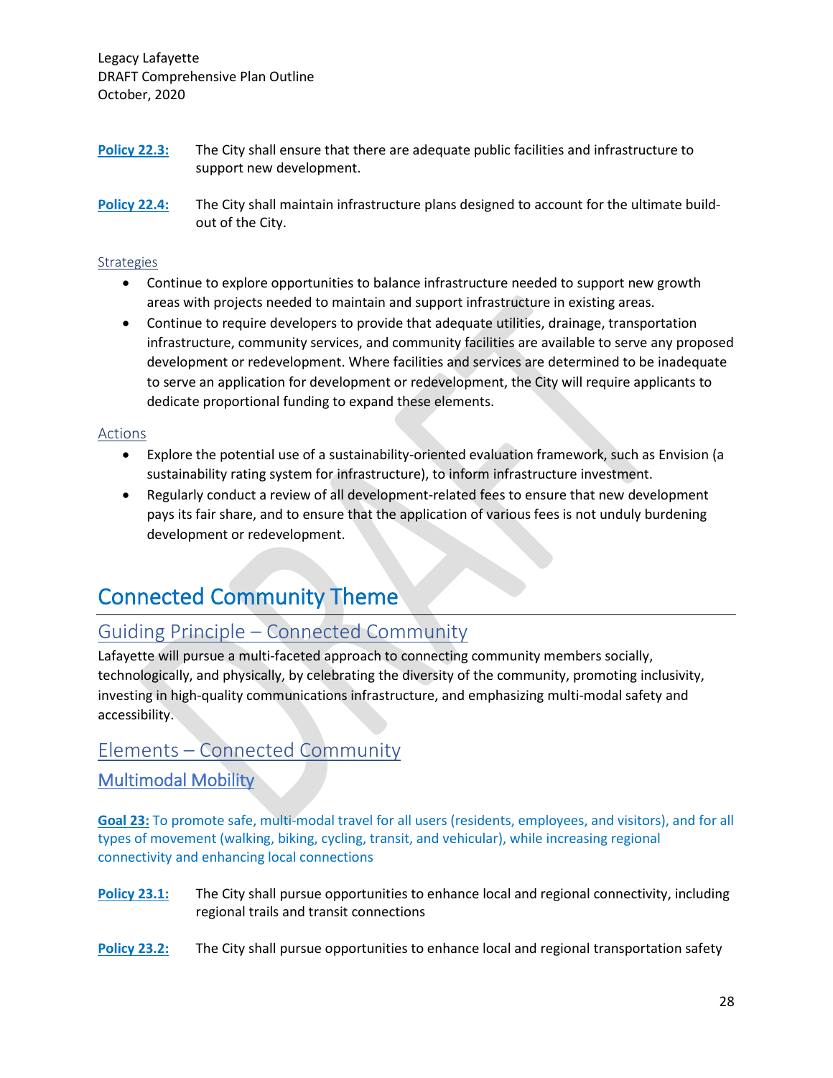- **Policy 22.3:** The City shall ensure that there are adequate public facilities and infrastructure to support new development.
- **Policy 22.4:** The City shall maintain infrastructure plans designed to account for the ultimate buildout of the City.

#### **Strategies**

- Continue to explore opportunities to balance infrastructure needed to support new growth areas with projects needed to maintain and support infrastructure in existing areas.
- Continue to require developers to provide that adequate utilities, drainage, transportation infrastructure, community services, and community facilities are available to serve any proposed development or redevelopment. Where facilities and services are determined to be inadequate to serve an application for development or redevelopment, the City will require applicants to dedicate proportional funding to expand these elements.

#### Actions

- Explore the potential use of a sustainability-oriented evaluation framework, such as Envision (a sustainability rating system for infrastructure), to inform infrastructure investment.
- Regularly conduct a review of all development-related fees to ensure that new development pays its fair share, and to ensure that the application of various fees is not unduly burdening development or redevelopment.

# Connected Community Theme

# Guiding Principle – Connected Community

Lafayette will pursue a multi-faceted approach to connecting community members socially, technologically, and physically, by celebrating the diversity of the community, promoting inclusivity, investing in high-quality communications infrastructure, and emphasizing multi-modal safety and accessibility.

# Elements – Connected Community

# Multimodal Mobility

**Goal 23:** To promote safe, multi-modal travel for all users (residents, employees, and visitors), and for all types of movement (walking, biking, cycling, transit, and vehicular), while increasing regional connectivity and enhancing local connections

- **Policy 23.1:** The City shall pursue opportunities to enhance local and regional connectivity, including regional trails and transit connections
- **Policy 23.2:** The City shall pursue opportunities to enhance local and regional transportation safety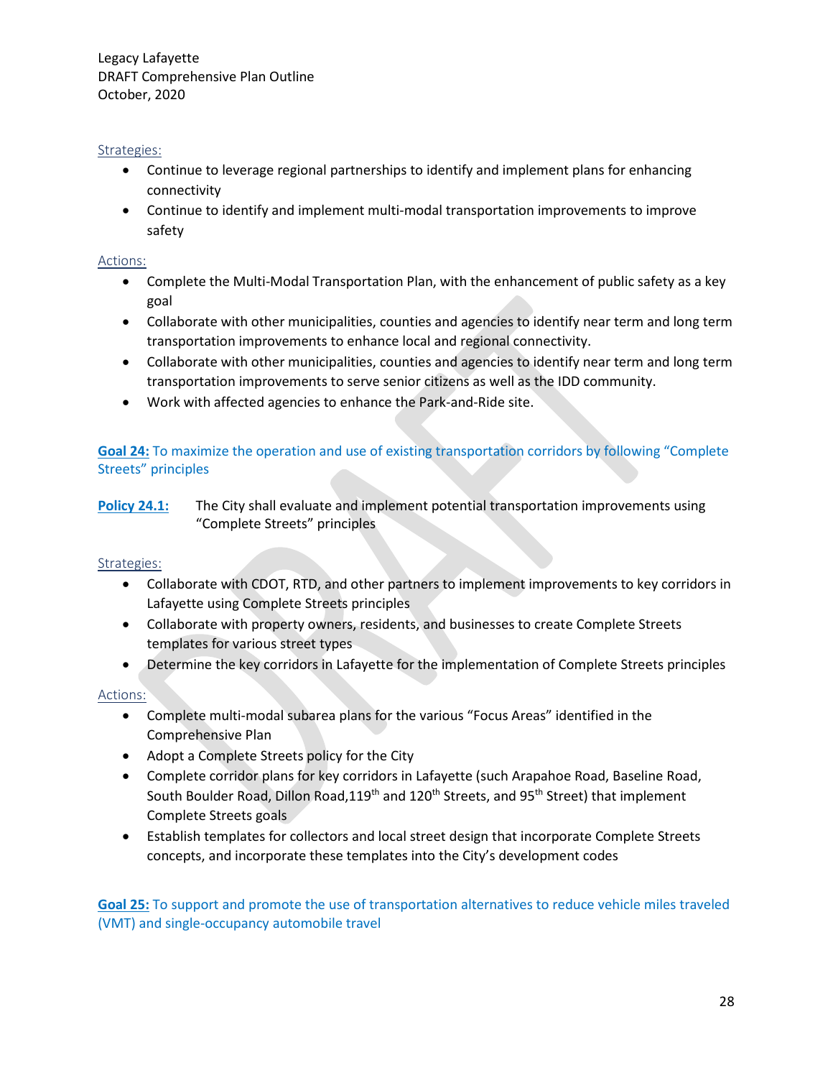#### Strategies:

- Continue to leverage regional partnerships to identify and implement plans for enhancing connectivity
- Continue to identify and implement multi-modal transportation improvements to improve safety

#### Actions:

- Complete the Multi-Modal Transportation Plan, with the enhancement of public safety as a key goal
- Collaborate with other municipalities, counties and agencies to identify near term and long term transportation improvements to enhance local and regional connectivity.
- Collaborate with other municipalities, counties and agencies to identify near term and long term transportation improvements to serve senior citizens as well as the IDD community.
- Work with affected agencies to enhance the Park-and-Ride site.

#### **Goal 24:** To maximize the operation and use of existing transportation corridors by following "Complete Streets" principles

**Policy 24.1:** The City shall evaluate and implement potential transportation improvements using "Complete Streets" principles

#### Strategies:

- Collaborate with CDOT, RTD, and other partners to implement improvements to key corridors in Lafayette using Complete Streets principles
- Collaborate with property owners, residents, and businesses to create Complete Streets templates for various street types
- Determine the key corridors in Lafayette for the implementation of Complete Streets principles

#### Actions:

- Complete multi-modal subarea plans for the various "Focus Areas" identified in the Comprehensive Plan
- Adopt a Complete Streets policy for the City
- Complete corridor plans for key corridors in Lafayette (such Arapahoe Road, Baseline Road, South Boulder Road, Dillon Road, 119<sup>th</sup> and 120<sup>th</sup> Streets, and 95<sup>th</sup> Street) that implement Complete Streets goals
- Establish templates for collectors and local street design that incorporate Complete Streets concepts, and incorporate these templates into the City's development codes

**Goal 25:** To support and promote the use of transportation alternatives to reduce vehicle miles traveled (VMT) and single-occupancy automobile travel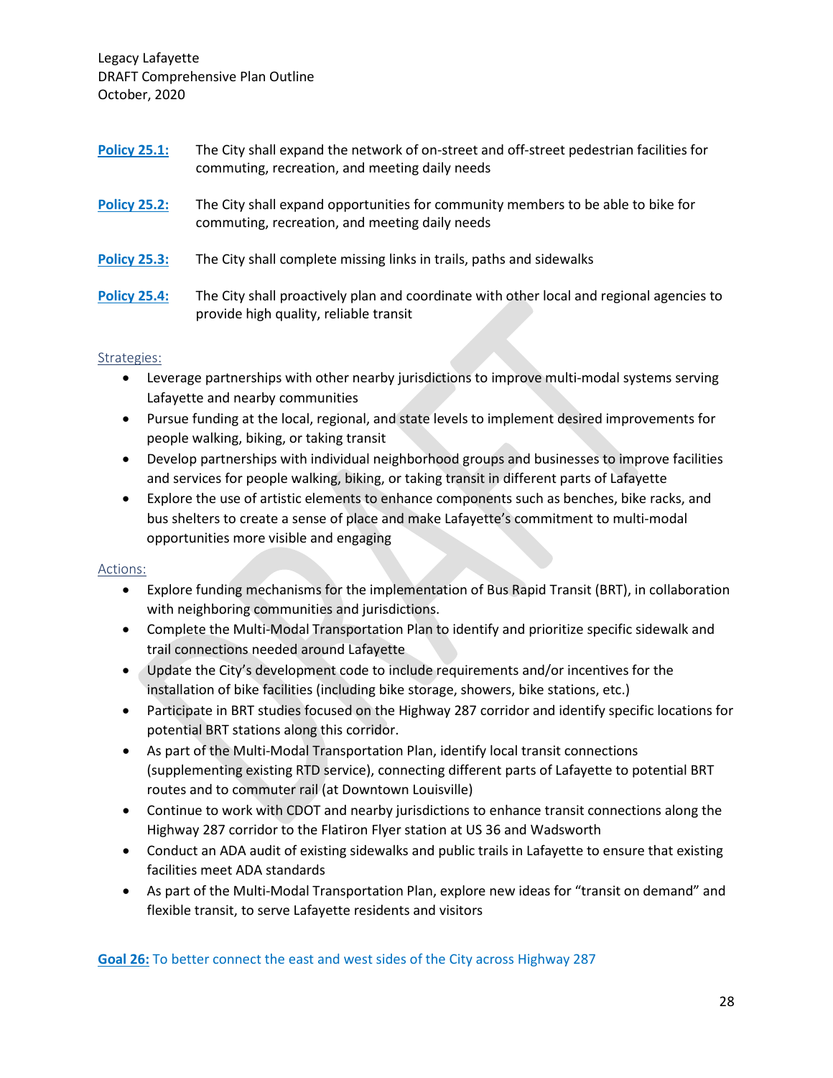| <b>Policy 25.1:</b> | The City shall expand the network of on-street and off-street pedestrian facilities for<br>commuting, recreation, and meeting daily needs |
|---------------------|-------------------------------------------------------------------------------------------------------------------------------------------|
| <b>Policy 25.2:</b> | The City shall expand opportunities for community members to be able to bike for<br>commuting, recreation, and meeting daily needs        |
| <b>Policy 25.3:</b> | The City shall complete missing links in trails, paths and sidewalks                                                                      |
| <b>Policy 25.4:</b> | The City shall proactively plan and coordinate with other local and regional agencies to<br>provide high quality, reliable transit        |

#### Strategies:

- Leverage partnerships with other nearby jurisdictions to improve multi-modal systems serving Lafayette and nearby communities
- Pursue funding at the local, regional, and state levels to implement desired improvements for people walking, biking, or taking transit
- Develop partnerships with individual neighborhood groups and businesses to improve facilities and services for people walking, biking, or taking transit in different parts of Lafayette
- Explore the use of artistic elements to enhance components such as benches, bike racks, and bus shelters to create a sense of place and make Lafayette's commitment to multi-modal opportunities more visible and engaging

#### Actions:

- Explore funding mechanisms for the implementation of Bus Rapid Transit (BRT), in collaboration with neighboring communities and jurisdictions.
- Complete the Multi-Modal Transportation Plan to identify and prioritize specific sidewalk and trail connections needed around Lafayette
- Update the City's development code to include requirements and/or incentives for the installation of bike facilities (including bike storage, showers, bike stations, etc.)
- Participate in BRT studies focused on the Highway 287 corridor and identify specific locations for potential BRT stations along this corridor.
- As part of the Multi-Modal Transportation Plan, identify local transit connections (supplementing existing RTD service), connecting different parts of Lafayette to potential BRT routes and to commuter rail (at Downtown Louisville)
- Continue to work with CDOT and nearby jurisdictions to enhance transit connections along the Highway 287 corridor to the Flatiron Flyer station at US 36 and Wadsworth
- Conduct an ADA audit of existing sidewalks and public trails in Lafayette to ensure that existing facilities meet ADA standards
- As part of the Multi-Modal Transportation Plan, explore new ideas for "transit on demand" and flexible transit, to serve Lafayette residents and visitors

**Goal 26:** To better connect the east and west sides of the City across Highway 287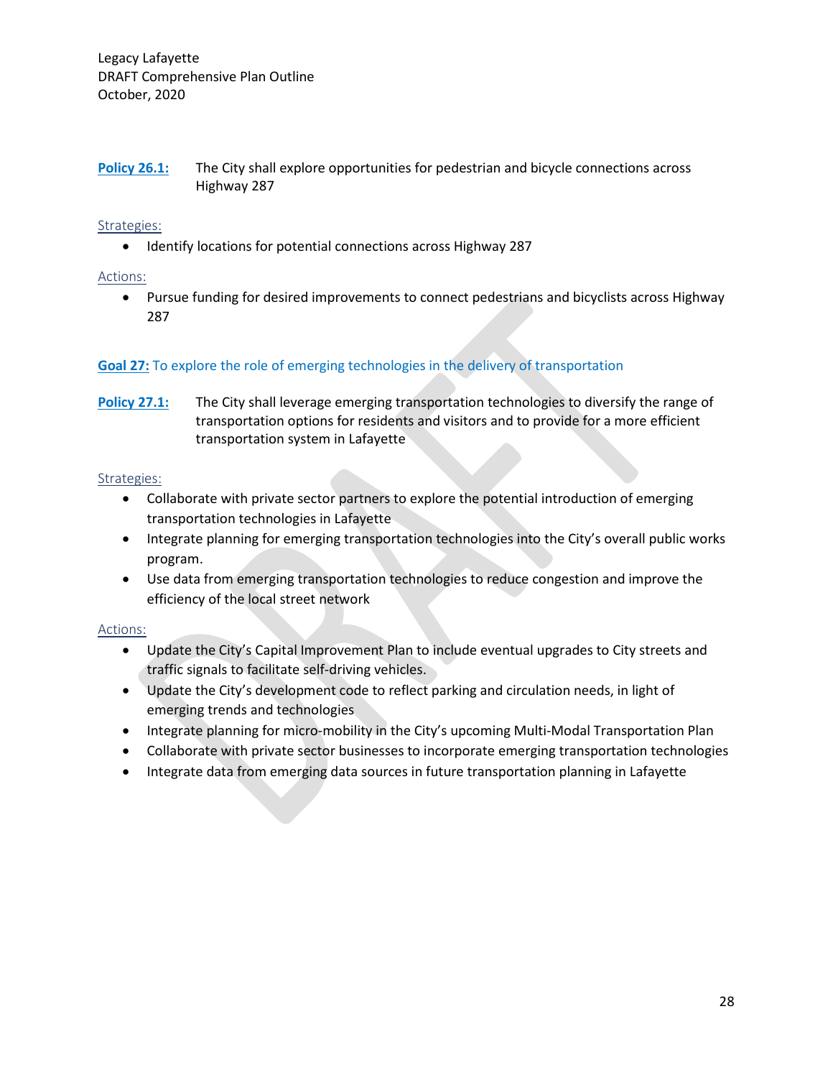**Policy 26.1:** The City shall explore opportunities for pedestrian and bicycle connections across Highway 287

#### Strategies:

• Identify locations for potential connections across Highway 287

#### Actions:

• Pursue funding for desired improvements to connect pedestrians and bicyclists across Highway 287

#### **Goal 27:** To explore the role of emerging technologies in the delivery of transportation

**Policy 27.1:** The City shall leverage emerging transportation technologies to diversify the range of transportation options for residents and visitors and to provide for a more efficient transportation system in Lafayette

#### Strategies:

- Collaborate with private sector partners to explore the potential introduction of emerging transportation technologies in Lafayette
- Integrate planning for emerging transportation technologies into the City's overall public works program.
- Use data from emerging transportation technologies to reduce congestion and improve the efficiency of the local street network

#### Actions:

- Update the City's Capital Improvement Plan to include eventual upgrades to City streets and traffic signals to facilitate self-driving vehicles.
- Update the City's development code to reflect parking and circulation needs, in light of emerging trends and technologies
- Integrate planning for micro-mobility in the City's upcoming Multi-Modal Transportation Plan
- Collaborate with private sector businesses to incorporate emerging transportation technologies
- Integrate data from emerging data sources in future transportation planning in Lafayette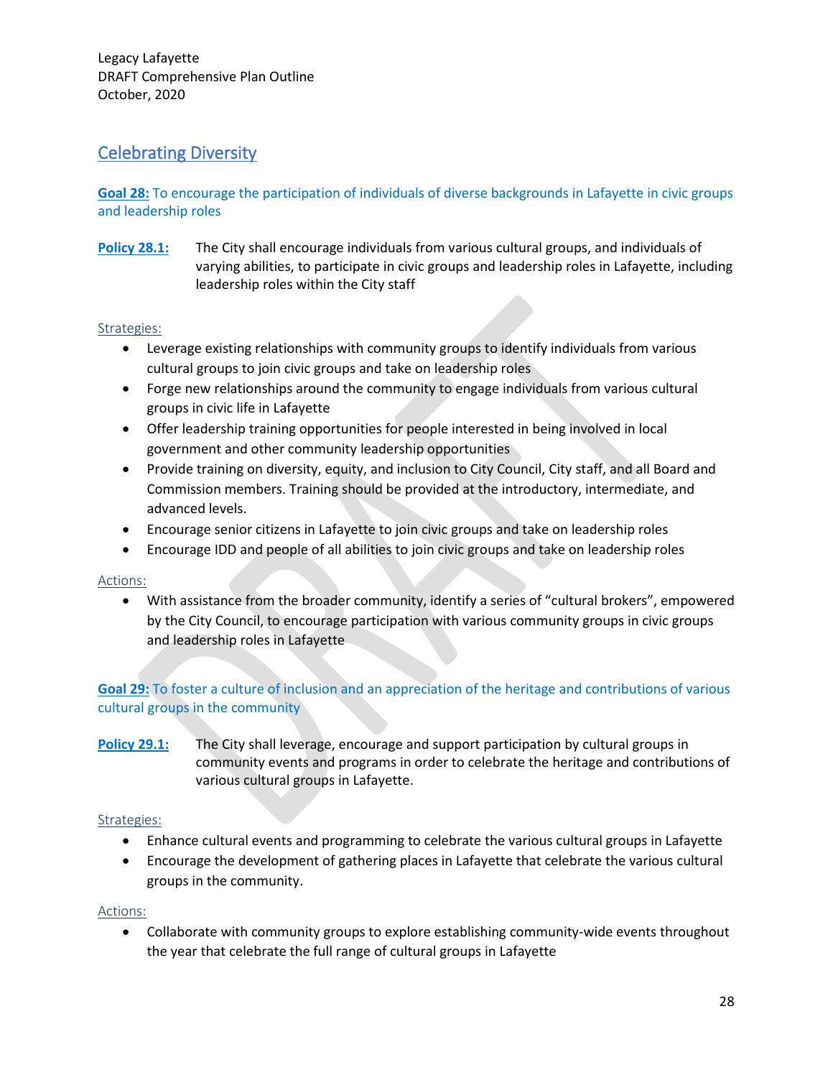# Celebrating Diversity

**Goal 28:** To encourage the participation of individuals of diverse backgrounds in Lafayette in civic groups and leadership roles

**Policy 28.1:** The City shall encourage individuals from various cultural groups, and individuals of varying abilities, to participate in civic groups and leadership roles in Lafayette, including leadership roles within the City staff

#### Strategies:

- Leverage existing relationships with community groups to identify individuals from various cultural groups to join civic groups and take on leadership roles
- Forge new relationships around the community to engage individuals from various cultural groups in civic life in Lafayette
- Offer leadership training opportunities for people interested in being involved in local government and other community leadership opportunities
- Provide training on diversity, equity, and inclusion to City Council, City staff, and all Board and Commission members. Training should be provided at the introductory, intermediate, and advanced levels.
- Encourage senior citizens in Lafayette to join civic groups and take on leadership roles
- Encourage IDD and people of all abilities to join civic groups and take on leadership roles

#### Actions:

• With assistance from the broader community, identify a series of "cultural brokers", empowered by the City Council, to encourage participation with various community groups in civic groups and leadership roles in Lafayette

#### **Goal 29:** To foster a culture of inclusion and an appreciation of the heritage and contributions of various cultural groups in the community

**Policy 29.1:** The City shall leverage, encourage and support participation by cultural groups in community events and programs in order to celebrate the heritage and contributions of various cultural groups in Lafayette.

#### Strategies:

- Enhance cultural events and programming to celebrate the various cultural groups in Lafayette
- Encourage the development of gathering places in Lafayette that celebrate the various cultural groups in the community.

#### Actions:

• Collaborate with community groups to explore establishing community-wide events throughout the year that celebrate the full range of cultural groups in Lafayette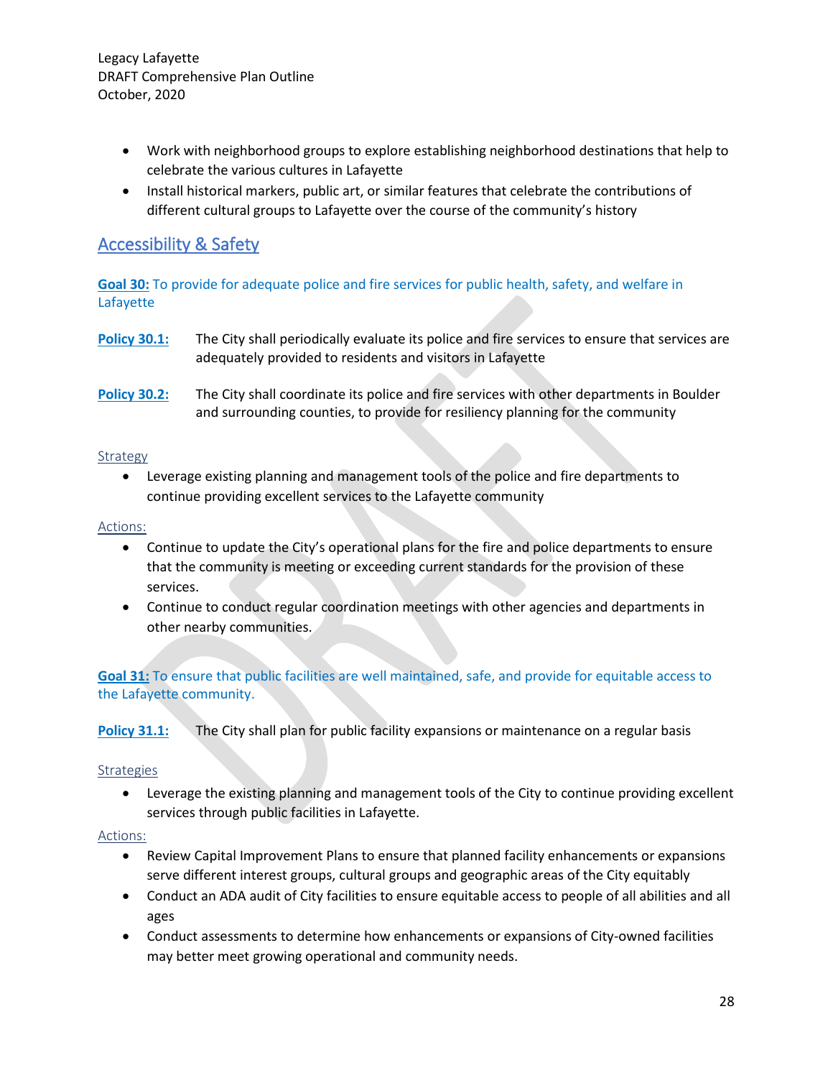- Work with neighborhood groups to explore establishing neighborhood destinations that help to celebrate the various cultures in Lafayette
- Install historical markers, public art, or similar features that celebrate the contributions of different cultural groups to Lafayette over the course of the community's history

# Accessibility & Safety

**Goal 30:** To provide for adequate police and fire services for public health, safety, and welfare in Lafayette

- **Policy 30.1:** The City shall periodically evaluate its police and fire services to ensure that services are adequately provided to residents and visitors in Lafayette
- **Policy 30.2:** The City shall coordinate its police and fire services with other departments in Boulder and surrounding counties, to provide for resiliency planning for the community

#### Strategy

• Leverage existing planning and management tools of the police and fire departments to continue providing excellent services to the Lafayette community

#### Actions:

- Continue to update the City's operational plans for the fire and police departments to ensure that the community is meeting or exceeding current standards for the provision of these services.
- Continue to conduct regular coordination meetings with other agencies and departments in other nearby communities.

**Goal 31:** To ensure that public facilities are well maintained, safe, and provide for equitable access to the Lafayette community.

**Policy 31.1:** The City shall plan for public facility expansions or maintenance on a regular basis

#### Strategies

• Leverage the existing planning and management tools of the City to continue providing excellent services through public facilities in Lafayette.

#### Actions:

- Review Capital Improvement Plans to ensure that planned facility enhancements or expansions serve different interest groups, cultural groups and geographic areas of the City equitably
- Conduct an ADA audit of City facilities to ensure equitable access to people of all abilities and all ages
- Conduct assessments to determine how enhancements or expansions of City-owned facilities may better meet growing operational and community needs.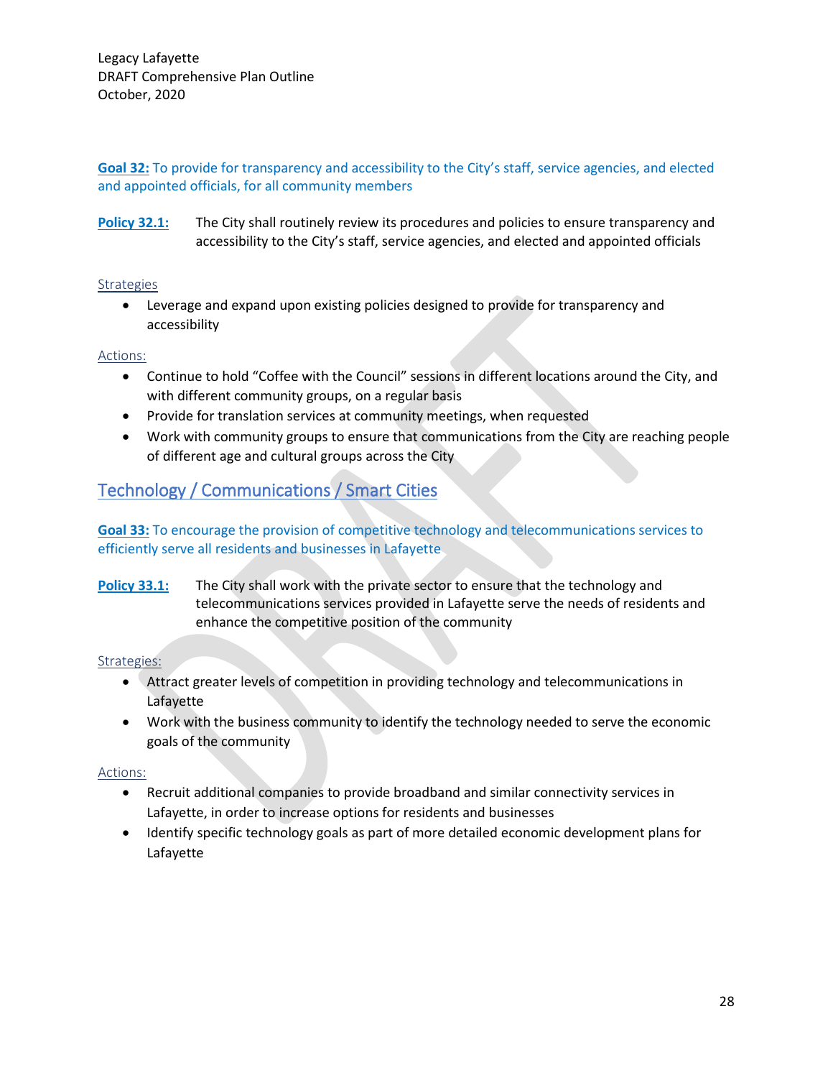**Goal 32:** To provide for transparency and accessibility to the City's staff, service agencies, and elected and appointed officials, for all community members

**Policy 32.1:** The City shall routinely review its procedures and policies to ensure transparency and accessibility to the City's staff, service agencies, and elected and appointed officials

#### **Strategies**

• Leverage and expand upon existing policies designed to provide for transparency and accessibility

#### Actions:

- Continue to hold "Coffee with the Council" sessions in different locations around the City, and with different community groups, on a regular basis
- Provide for translation services at community meetings, when requested
- Work with community groups to ensure that communications from the City are reaching people of different age and cultural groups across the City

# Technology / Communications / Smart Cities

#### **Goal 33:** To encourage the provision of competitive technology and telecommunications services to efficiently serve all residents and businesses in Lafayette

**Policy 33.1:** The City shall work with the private sector to ensure that the technology and telecommunications services provided in Lafayette serve the needs of residents and enhance the competitive position of the community

#### Strategies:

- Attract greater levels of competition in providing technology and telecommunications in Lafayette
- Work with the business community to identify the technology needed to serve the economic goals of the community

#### Actions:

- Recruit additional companies to provide broadband and similar connectivity services in Lafayette, in order to increase options for residents and businesses
- Identify specific technology goals as part of more detailed economic development plans for Lafayette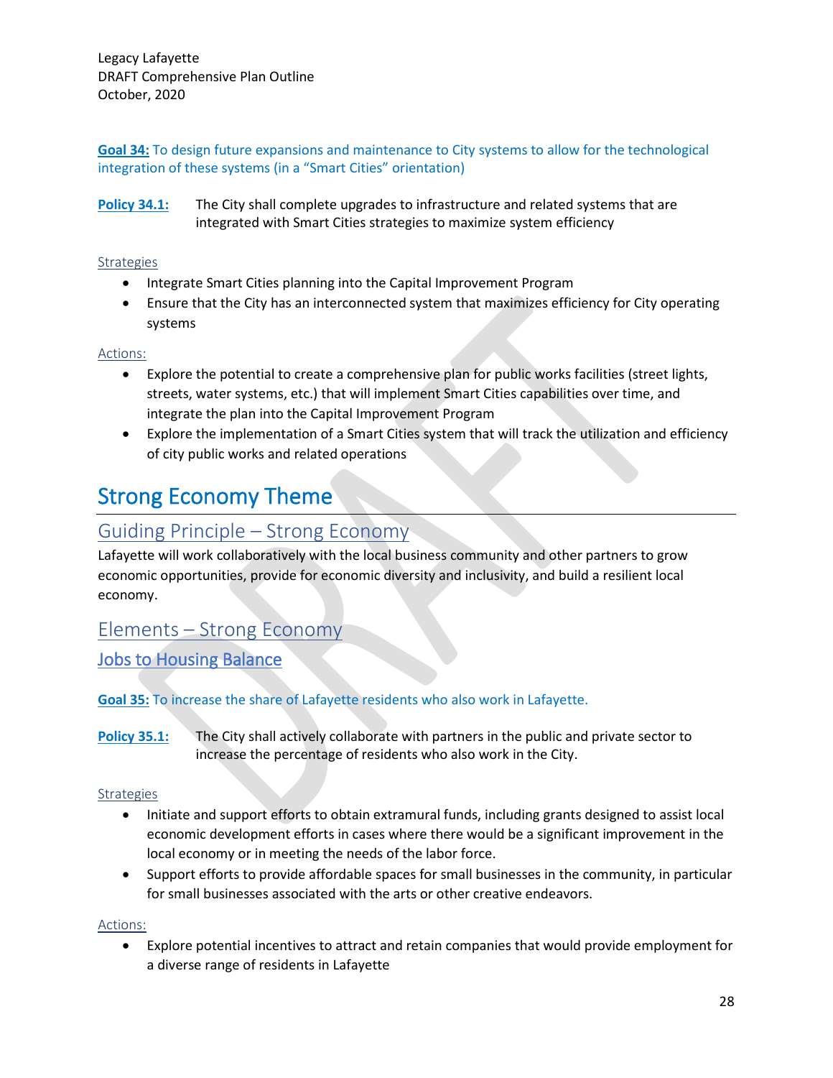**Goal 34:** To design future expansions and maintenance to City systems to allow for the technological integration of these systems (in a "Smart Cities" orientation)

**Policy 34.1:** The City shall complete upgrades to infrastructure and related systems that are integrated with Smart Cities strategies to maximize system efficiency

#### **Strategies**

- Integrate Smart Cities planning into the Capital Improvement Program
- Ensure that the City has an interconnected system that maximizes efficiency for City operating systems

#### Actions:

- Explore the potential to create a comprehensive plan for public works facilities (street lights, streets, water systems, etc.) that will implement Smart Cities capabilities over time, and integrate the plan into the Capital Improvement Program
- Explore the implementation of a Smart Cities system that will track the utilization and efficiency of city public works and related operations

# Strong Economy Theme

# Guiding Principle – Strong Economy

Lafayette will work collaboratively with the local business community and other partners to grow economic opportunities, provide for economic diversity and inclusivity, and build a resilient local economy.

# Elements – Strong Economy

# Jobs to Housing Balance

#### **Goal 35:** To increase the share of Lafayette residents who also work in Lafayette.

**Policy 35.1:** The City shall actively collaborate with partners in the public and private sector to increase the percentage of residents who also work in the City.

#### Strategies

- Initiate and support efforts to obtain extramural funds, including grants designed to assist local economic development efforts in cases where there would be a significant improvement in the local economy or in meeting the needs of the labor force.
- Support efforts to provide affordable spaces for small businesses in the community, in particular for small businesses associated with the arts or other creative endeavors.

#### Actions:

• Explore potential incentives to attract and retain companies that would provide employment for a diverse range of residents in Lafayette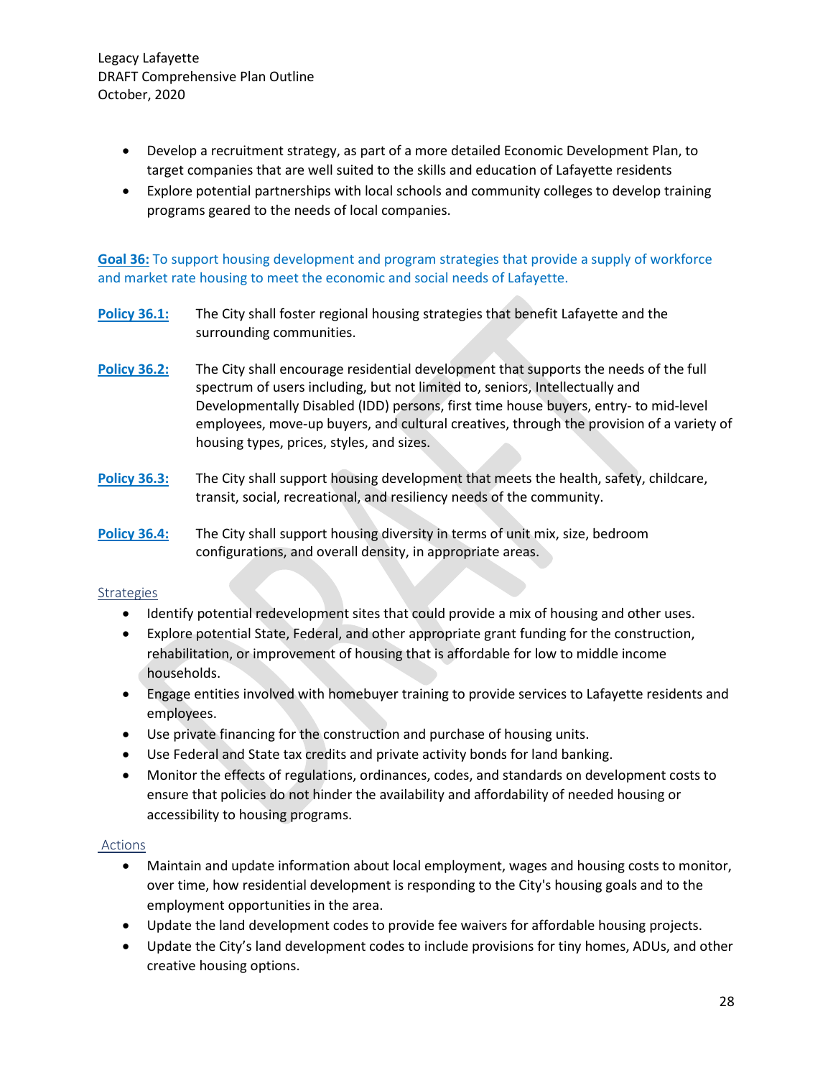- Develop a recruitment strategy, as part of a more detailed Economic Development Plan, to target companies that are well suited to the skills and education of Lafayette residents
- Explore potential partnerships with local schools and community colleges to develop training programs geared to the needs of local companies.

**Goal 36:** To support housing development and program strategies that provide a supply of workforce and market rate housing to meet the economic and social needs of Lafayette.

- **Policy 36.1:** The City shall foster regional housing strategies that benefit Lafayette and the surrounding communities.
- **Policy 36.2:** The City shall encourage residential development that supports the needs of the full spectrum of users including, but not limited to, seniors, Intellectually and Developmentally Disabled (IDD) persons, first time house buyers, entry- to mid-level employees, move-up buyers, and cultural creatives, through the provision of a variety of housing types, prices, styles, and sizes.
- **Policy 36.3:** The City shall support housing development that meets the health, safety, childcare, transit, social, recreational, and resiliency needs of the community.
- **Policy 36.4:** The City shall support housing diversity in terms of unit mix, size, bedroom configurations, and overall density, in appropriate areas.

#### **Strategies**

- Identify potential redevelopment sites that could provide a mix of housing and other uses.
- Explore potential State, Federal, and other appropriate grant funding for the construction, rehabilitation, or improvement of housing that is affordable for low to middle income households.
- Engage entities involved with homebuyer training to provide services to Lafayette residents and employees.
- Use private financing for the construction and purchase of housing units.
- Use Federal and State tax credits and private activity bonds for land banking.
- Monitor the effects of regulations, ordinances, codes, and standards on development costs to ensure that policies do not hinder the availability and affordability of needed housing or accessibility to housing programs.

#### Actions

- Maintain and update information about local employment, wages and housing costs to monitor, over time, how residential development is responding to the City's housing goals and to the employment opportunities in the area.
- Update the land development codes to provide fee waivers for affordable housing projects.
- Update the City's land development codes to include provisions for tiny homes, ADUs, and other creative housing options.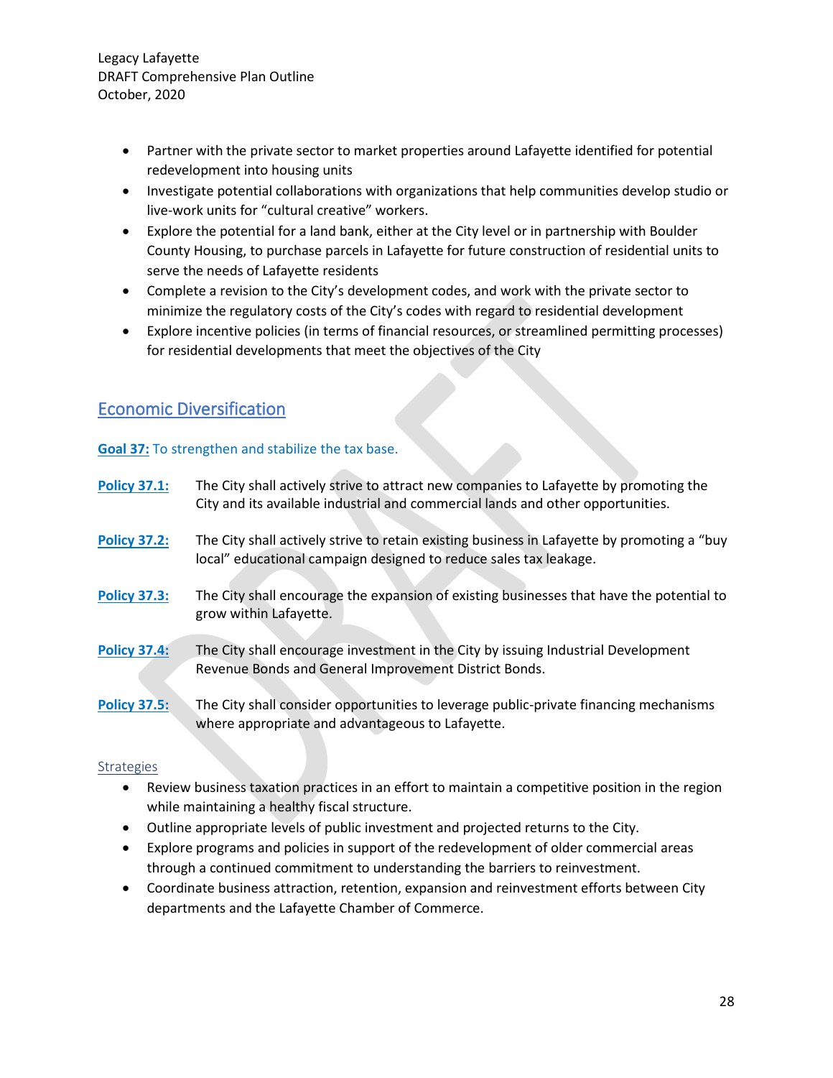- Partner with the private sector to market properties around Lafayette identified for potential redevelopment into housing units
- Investigate potential collaborations with organizations that help communities develop studio or live-work units for "cultural creative" workers.
- Explore the potential for a land bank, either at the City level or in partnership with Boulder County Housing, to purchase parcels in Lafayette for future construction of residential units to serve the needs of Lafayette residents
- Complete a revision to the City's development codes, and work with the private sector to minimize the regulatory costs of the City's codes with regard to residential development
- Explore incentive policies (in terms of financial resources, or streamlined permitting processes) for residential developments that meet the objectives of the City

# Economic Diversification

#### **Goal 37:** To strengthen and stabilize the tax base.

| <b>Policy 37.1:</b> | The City shall actively strive to attract new companies to Lafayette by promoting the<br>City and its available industrial and commercial lands and other opportunities. |
|---------------------|--------------------------------------------------------------------------------------------------------------------------------------------------------------------------|
| <b>Policy 37.2:</b> | The City shall actively strive to retain existing business in Lafayette by promoting a "buy<br>local" educational campaign designed to reduce sales tax leakage.         |
| <b>Policy 37.3:</b> | The City shall encourage the expansion of existing businesses that have the potential to<br>grow within Lafayette.                                                       |
| <b>Policy 37.4:</b> | The City shall encourage investment in the City by issuing Industrial Development<br>Revenue Bonds and General Improvement District Bonds.                               |
| <b>Policy 37.5:</b> | The City shall consider opportunities to leverage public-private financing mechanisms<br>where appropriate and advantageous to Lafayette.                                |

#### **Strategies**

- Review business taxation practices in an effort to maintain a competitive position in the region while maintaining a healthy fiscal structure.
- Outline appropriate levels of public investment and projected returns to the City.
- Explore programs and policies in support of the redevelopment of older commercial areas through a continued commitment to understanding the barriers to reinvestment.
- Coordinate business attraction, retention, expansion and reinvestment efforts between City departments and the Lafayette Chamber of Commerce.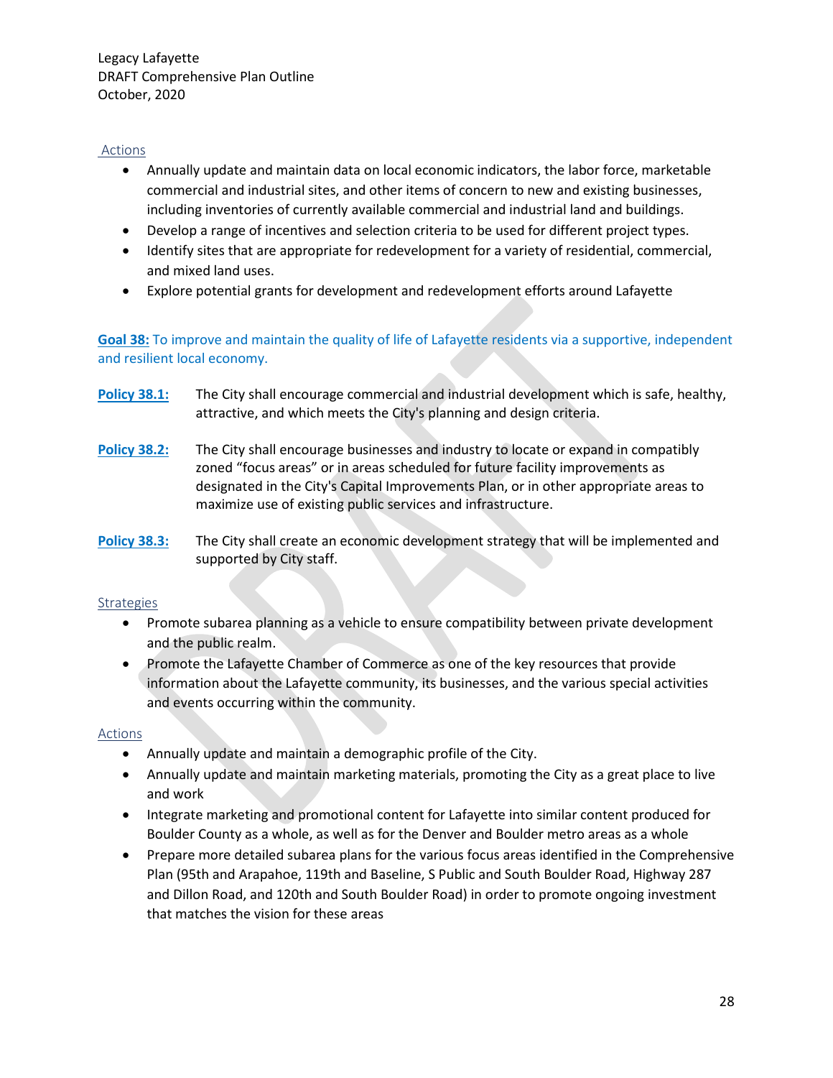#### Actions

- Annually update and maintain data on local economic indicators, the labor force, marketable commercial and industrial sites, and other items of concern to new and existing businesses, including inventories of currently available commercial and industrial land and buildings.
- Develop a range of incentives and selection criteria to be used for different project types.
- Identify sites that are appropriate for redevelopment for a variety of residential, commercial, and mixed land uses.
- Explore potential grants for development and redevelopment efforts around Lafayette

**Goal 38:** To improve and maintain the quality of life of Lafayette residents via a supportive, independent and resilient local economy.

- **Policy 38.1:** The City shall encourage commercial and industrial development which is safe, healthy, attractive, and which meets the City's planning and design criteria.
- **Policy 38.2:** The City shall encourage businesses and industry to locate or expand in compatibly zoned "focus areas" or in areas scheduled for future facility improvements as designated in the City's Capital Improvements Plan, or in other appropriate areas to maximize use of existing public services and infrastructure.
- **Policy 38.3:** The City shall create an economic development strategy that will be implemented and supported by City staff.

#### Strategies

- Promote subarea planning as a vehicle to ensure compatibility between private development and the public realm.
- Promote the Lafayette Chamber of Commerce as one of the key resources that provide information about the Lafayette community, its businesses, and the various special activities and events occurring within the community.

#### Actions

- Annually update and maintain a demographic profile of the City.
- Annually update and maintain marketing materials, promoting the City as a great place to live and work
- Integrate marketing and promotional content for Lafayette into similar content produced for Boulder County as a whole, as well as for the Denver and Boulder metro areas as a whole
- Prepare more detailed subarea plans for the various focus areas identified in the Comprehensive Plan (95th and Arapahoe, 119th and Baseline, S Public and South Boulder Road, Highway 287 and Dillon Road, and 120th and South Boulder Road) in order to promote ongoing investment that matches the vision for these areas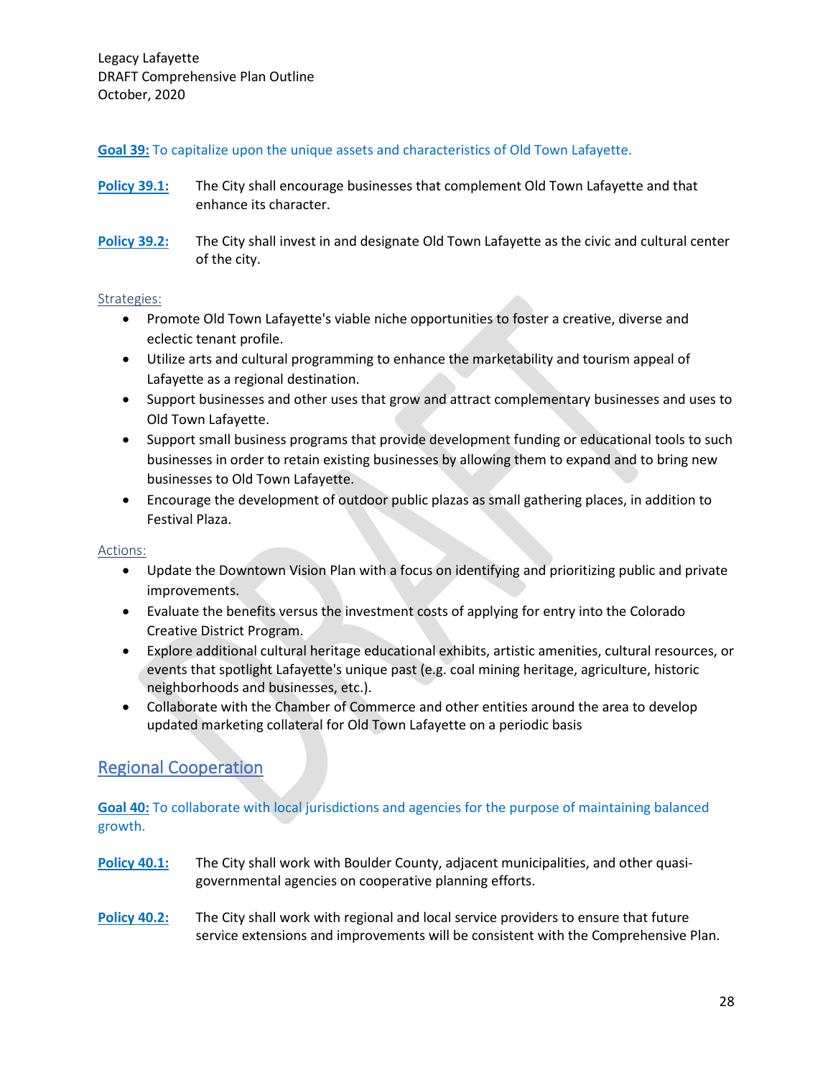**Goal 39:** To capitalize upon the unique assets and characteristics of Old Town Lafayette.

- **Policy 39.1:** The City shall encourage businesses that complement Old Town Lafayette and that enhance its character.
- **Policy 39.2:** The City shall invest in and designate Old Town Lafayette as the civic and cultural center of the city.

#### Strategies:

- Promote Old Town Lafayette's viable niche opportunities to foster a creative, diverse and eclectic tenant profile.
- Utilize arts and cultural programming to enhance the marketability and tourism appeal of Lafayette as a regional destination.
- Support businesses and other uses that grow and attract complementary businesses and uses to Old Town Lafayette.
- Support small business programs that provide development funding or educational tools to such businesses in order to retain existing businesses by allowing them to expand and to bring new businesses to Old Town Lafayette.
- Encourage the development of outdoor public plazas as small gathering places, in addition to Festival Plaza.

#### Actions:

- Update the Downtown Vision Plan with a focus on identifying and prioritizing public and private improvements.
- Evaluate the benefits versus the investment costs of applying for entry into the Colorado Creative District Program.
- Explore additional cultural heritage educational exhibits, artistic amenities, cultural resources, or events that spotlight Lafayette's unique past (e.g. coal mining heritage, agriculture, historic neighborhoods and businesses, etc.).
- Collaborate with the Chamber of Commerce and other entities around the area to develop updated marketing collateral for Old Town Lafayette on a periodic basis

# Regional Cooperation

**Goal 40:** To collaborate with local jurisdictions and agencies for the purpose of maintaining balanced growth.

- **Policy 40.1:** The City shall work with Boulder County, adjacent municipalities, and other quasigovernmental agencies on cooperative planning efforts.
- **Policy 40.2:** The City shall work with regional and local service providers to ensure that future service extensions and improvements will be consistent with the Comprehensive Plan.